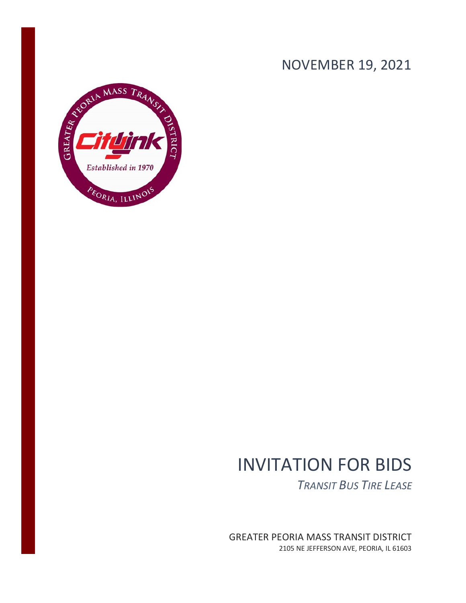# NOVEMBER 19, 2021



# INVITATION FOR BIDS

*TRANSIT BUS TIRE LEASE*

GREATER PEORIA MASS TRANSIT DISTRICT 2105 NE JEFFERSON AVE, PEORIA, IL 61603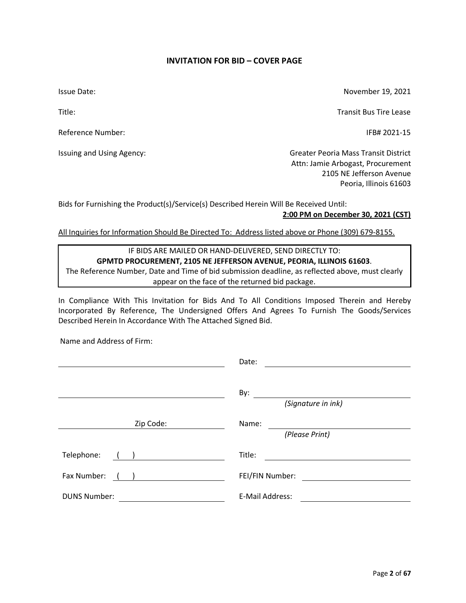## **INVITATION FOR BID – COVER PAGE**

<span id="page-1-0"></span>Issue Date:

Title:

Reference Number:

Issuing and Using Agency:

November 19, 2021

Transit Bus Tire Lease

IFB# 2021-15

Greater Peoria Mass Transit District Attn: Jamie Arbogast, Procurement 2105 NE Jefferson Avenue Peoria, Illinois 61603

Bids for Furnishing the Product(s)/Service(s) Described Herein Will Be Received Until:

## **2:00 PM on December 30, 2021 (CST)**

All Inquiries for Information Should Be Directed To: Address listed above or Phone (309) 679-8155.

## IF BIDS ARE MAILED OR HAND-DELIVERED, SEND DIRECTLY TO: **GPMTD PROCUREMENT, 2105 NE JEFFERSON AVENUE, PEORIA, ILLINOIS 61603**. The Reference Number, Date and Time of bid submission deadline, as reflected above, must clearly

appear on the face of the returned bid package.

In Compliance With This Invitation for Bids And To All Conditions Imposed Therein and Hereby Incorporated By Reference, The Undersigned Offers And Agrees To Furnish The Goods/Services Described Herein In Accordance With The Attached Signed Bid.

Name and Address of Firm:

|                     | Date:                     |
|---------------------|---------------------------|
|                     | By:<br>(Signature in ink) |
| Zip Code:           | Name:                     |
|                     | (Please Print)            |
| Telephone:          | Title:                    |
| Fax Number:         | FEI/FIN Number:           |
| <b>DUNS Number:</b> | E-Mail Address:           |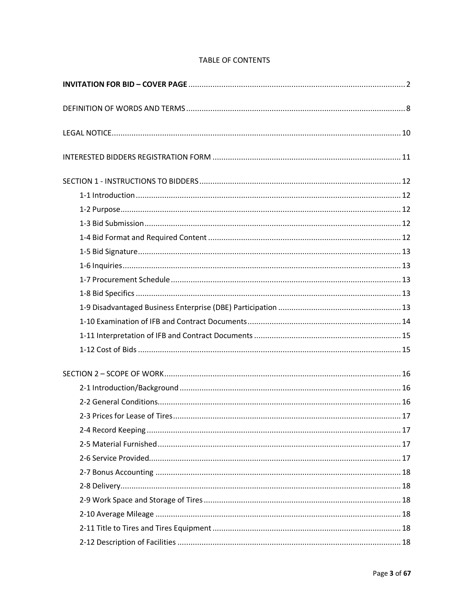## **TABLE OF CONTENTS**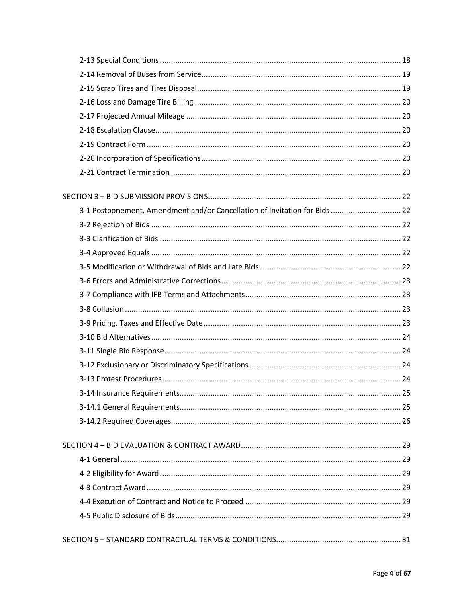| 3-1 Postponement, Amendment and/or Cancellation of Invitation for Bids  22 |  |
|----------------------------------------------------------------------------|--|
|                                                                            |  |
|                                                                            |  |
|                                                                            |  |
|                                                                            |  |
|                                                                            |  |
|                                                                            |  |
|                                                                            |  |
|                                                                            |  |
|                                                                            |  |
|                                                                            |  |
|                                                                            |  |
|                                                                            |  |
|                                                                            |  |
|                                                                            |  |
|                                                                            |  |
|                                                                            |  |
|                                                                            |  |
|                                                                            |  |
|                                                                            |  |
|                                                                            |  |
|                                                                            |  |
|                                                                            |  |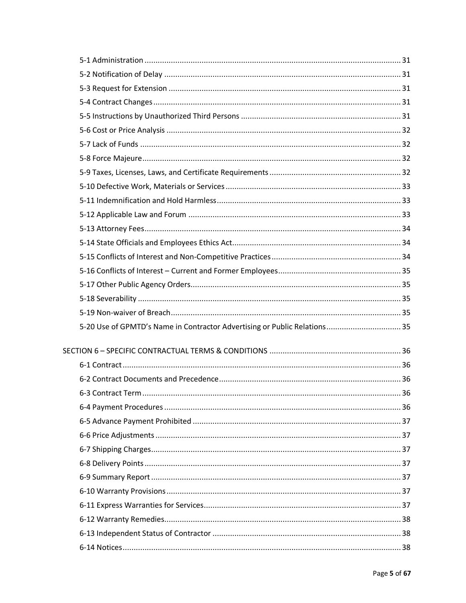| 5-20 Use of GPMTD's Name in Contractor Advertising or Public Relations 35 |  |
|---------------------------------------------------------------------------|--|
|                                                                           |  |
|                                                                           |  |
|                                                                           |  |
|                                                                           |  |
|                                                                           |  |
|                                                                           |  |
|                                                                           |  |
|                                                                           |  |
|                                                                           |  |
|                                                                           |  |
|                                                                           |  |
|                                                                           |  |
|                                                                           |  |
|                                                                           |  |
|                                                                           |  |
|                                                                           |  |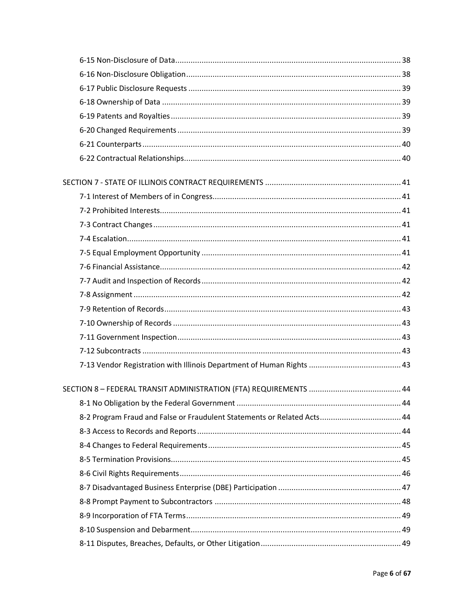| 8-2 Program Fraud and False or Fraudulent Statements or Related Acts 44 |  |
|-------------------------------------------------------------------------|--|
|                                                                         |  |
|                                                                         |  |
|                                                                         |  |
|                                                                         |  |
|                                                                         |  |
|                                                                         |  |
|                                                                         |  |
|                                                                         |  |
|                                                                         |  |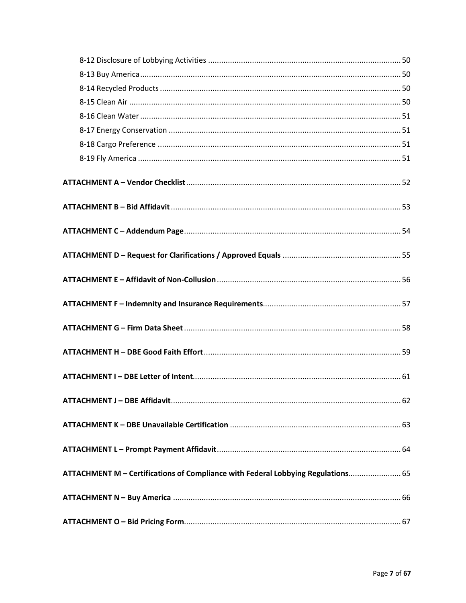| ATTACHMENT M - Certifications of Compliance with Federal Lobbying Regulations 65 |  |
|----------------------------------------------------------------------------------|--|
|                                                                                  |  |
|                                                                                  |  |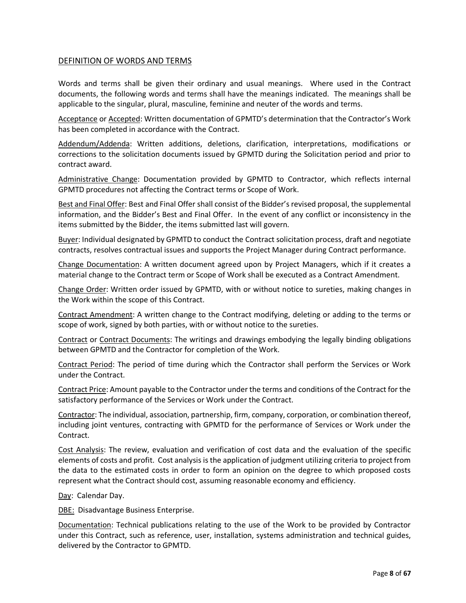## <span id="page-7-0"></span>DEFINITION OF WORDS AND TERMS

Words and terms shall be given their ordinary and usual meanings. Where used in the Contract documents, the following words and terms shall have the meanings indicated. The meanings shall be applicable to the singular, plural, masculine, feminine and neuter of the words and terms.

Acceptance or Accepted: Written documentation of GPMTD's determination that the Contractor's Work has been completed in accordance with the Contract.

Addendum/Addenda: Written additions, deletions, clarification, interpretations, modifications or corrections to the solicitation documents issued by GPMTD during the Solicitation period and prior to contract award.

Administrative Change: Documentation provided by GPMTD to Contractor, which reflects internal GPMTD procedures not affecting the Contract terms or Scope of Work.

Best and Final Offer: Best and Final Offer shall consist of the Bidder's revised proposal, the supplemental information, and the Bidder's Best and Final Offer. In the event of any conflict or inconsistency in the items submitted by the Bidder, the items submitted last will govern.

Buyer: Individual designated by GPMTD to conduct the Contract solicitation process, draft and negotiate contracts, resolves contractual issues and supports the Project Manager during Contract performance.

Change Documentation: A written document agreed upon by Project Managers, which if it creates a material change to the Contract term or Scope of Work shall be executed as a Contract Amendment.

Change Order: Written order issued by GPMTD, with or without notice to sureties, making changes in the Work within the scope of this Contract.

Contract Amendment: A written change to the Contract modifying, deleting or adding to the terms or scope of work, signed by both parties, with or without notice to the sureties.

Contract or Contract Documents: The writings and drawings embodying the legally binding obligations between GPMTD and the Contractor for completion of the Work.

Contract Period: The period of time during which the Contractor shall perform the Services or Work under the Contract.

Contract Price: Amount payable to the Contractor under the terms and conditions of the Contract for the satisfactory performance of the Services or Work under the Contract.

Contractor: The individual, association, partnership, firm, company, corporation, or combination thereof, including joint ventures, contracting with GPMTD for the performance of Services or Work under the Contract.

Cost Analysis: The review, evaluation and verification of cost data and the evaluation of the specific elements of costs and profit. Cost analysis is the application of judgment utilizing criteria to project from the data to the estimated costs in order to form an opinion on the degree to which proposed costs represent what the Contract should cost, assuming reasonable economy and efficiency.

Day: Calendar Day.

DBE: Disadvantage Business Enterprise.

Documentation: Technical publications relating to the use of the Work to be provided by Contractor under this Contract, such as reference, user, installation, systems administration and technical guides, delivered by the Contractor to GPMTD.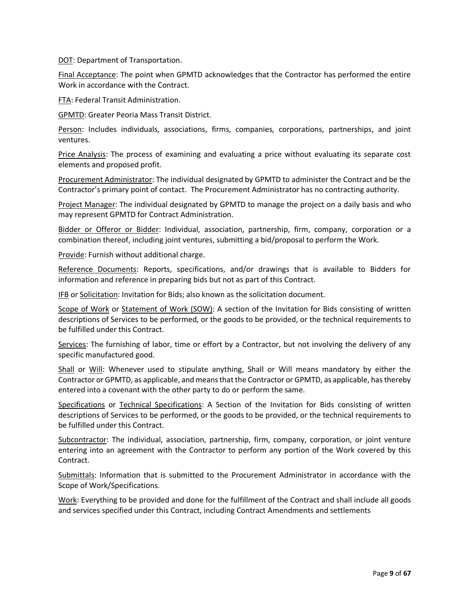DOT: Department of Transportation.

Final Acceptance: The point when GPMTD acknowledges that the Contractor has performed the entire Work in accordance with the Contract.

FTA: Federal Transit Administration.

GPMTD: Greater Peoria Mass Transit District.

Person: Includes individuals, associations, firms, companies, corporations, partnerships, and joint ventures.

Price Analysis: The process of examining and evaluating a price without evaluating its separate cost elements and proposed profit.

Procurement Administrator: The individual designated by GPMTD to administer the Contract and be the Contractor's primary point of contact. The Procurement Administrator has no contracting authority.

Project Manager: The individual designated by GPMTD to manage the project on a daily basis and who may represent GPMTD for Contract Administration.

Bidder or Offeror or Bidder: Individual, association, partnership, firm, company, corporation or a combination thereof, including joint ventures, submitting a bid/proposal to perform the Work.

Provide: Furnish without additional charge.

Reference Documents: Reports, specifications, and/or drawings that is available to Bidders for information and reference in preparing bids but not as part of this Contract.

IFB or Solicitation: Invitation for Bids; also known as the solicitation document.

Scope of Work or Statement of Work (SOW): A section of the Invitation for Bids consisting of written descriptions of Services to be performed, or the goods to be provided, or the technical requirements to be fulfilled under this Contract.

Services: The furnishing of labor, time or effort by a Contractor, but not involving the delivery of any specific manufactured good.

Shall or Will: Whenever used to stipulate anything, Shall or Will means mandatory by either the Contractor or GPMTD, as applicable, and means that the Contractor or GPMTD, as applicable, has thereby entered into a covenant with the other party to do or perform the same.

Specifications or Technical Specifications: A Section of the Invitation for Bids consisting of written descriptions of Services to be performed, or the goods to be provided, or the technical requirements to be fulfilled under this Contract.

Subcontractor: The individual, association, partnership, firm, company, corporation, or joint venture entering into an agreement with the Contractor to perform any portion of the Work covered by this Contract.

Submittals: Information that is submitted to the Procurement Administrator in accordance with the Scope of Work/Specifications.

Work: Everything to be provided and done for the fulfillment of the Contract and shall include all goods and services specified under this Contract, including Contract Amendments and settlements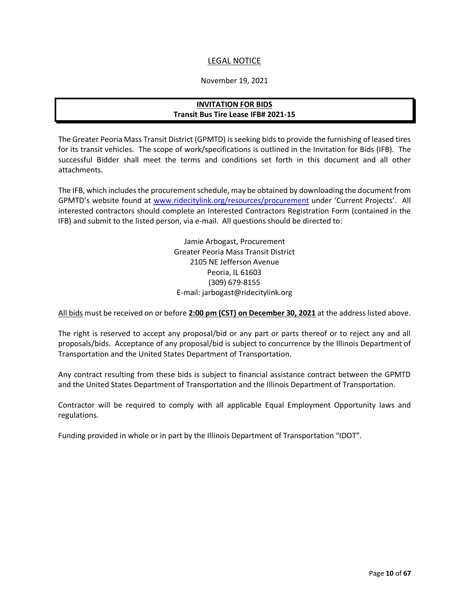## LEGAL NOTICE

#### November 19, 2021

## **INVITATION FOR BIDS Transit Bus Tire Lease IFB# 2021-15**

<span id="page-9-0"></span>The Greater Peoria Mass Transit District (GPMTD) is seeking bids to provide the furnishing of leased tires for its transit vehicles. The scope of work/specifications is outlined in the Invitation for Bids (IFB). The successful Bidder shall meet the terms and conditions set forth in this document and all other attachments.

The IFB, which includes the procurement schedule, may be obtained by downloading the document from GPMTD's website found at [www.ridecitylink.org/resources/procurement](http://www.ridecitylink.org/resources/procurement) under 'Current Projects'. All interested contractors should complete an Interested Contractors Registration Form (contained in the IFB) and submit to the listed person, via e-mail. All questions should be directed to:

> Jamie Arbogast, Procurement Greater Peoria Mass Transit District 2105 NE Jefferson Avenue Peoria, IL 61603 (309) 679-8155 E-mail: jarbogast@ridecitylink.org

All bids must be received on or before **2:00 pm (CST) on December 30, 2021** at the address listed above.

The right is reserved to accept any proposal/bid or any part or parts thereof or to reject any and all proposals/bids. Acceptance of any proposal/bid is subject to concurrence by the Illinois Department of Transportation and the United States Department of Transportation.

Any contract resulting from these bids is subject to financial assistance contract between the GPMTD and the United States Department of Transportation and the Illinois Department of Transportation.

Contractor will be required to comply with all applicable Equal Employment Opportunity laws and regulations.

Funding provided in whole or in part by the Illinois Department of Transportation "IDOT".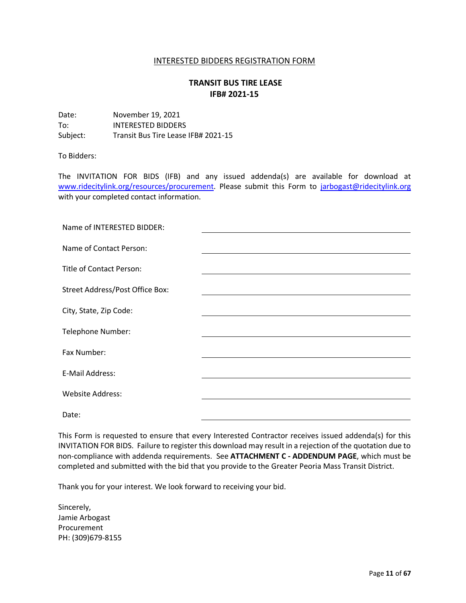#### INTERESTED BIDDERS REGISTRATION FORM

## **TRANSIT BUS TIRE LEASE IFB# 2021-15**

<span id="page-10-0"></span>

| Date:    | November 19, 2021                   |
|----------|-------------------------------------|
| To:      | INTERESTED BIDDERS                  |
| Subject: | Transit Bus Tire Lease IFB# 2021-15 |

#### To Bidders:

The INVITATION FOR BIDS (IFB) and any issued addenda(s) are available for download at [www.ridecitylink.org/resources/procurement.](http://www.ridecitylink.org/resources/procurement) Please submit this Form to [jarbogast@ridecitylink.org](mailto:jarbogast@ridecitylink.org) with your completed contact information.

| Name of INTERESTED BIDDER:      |  |
|---------------------------------|--|
| Name of Contact Person:         |  |
| Title of Contact Person:        |  |
| Street Address/Post Office Box: |  |
| City, State, Zip Code:          |  |
| Telephone Number:               |  |
| Fax Number:                     |  |
| E-Mail Address:                 |  |
|                                 |  |
| <b>Website Address:</b>         |  |
| Date:                           |  |

This Form is requested to ensure that every Interested Contractor receives issued addenda(s) for this INVITATION FOR BIDS. Failure to register this download may result in a rejection of the quotation due to non-compliance with addenda requirements. See **ATTACHMENT C - ADDENDUM PAGE**, which must be completed and submitted with the bid that you provide to the Greater Peoria Mass Transit District.

Thank you for your interest. We look forward to receiving your bid.

Sincerely, Jamie Arbogast Procurement PH: (309)679-8155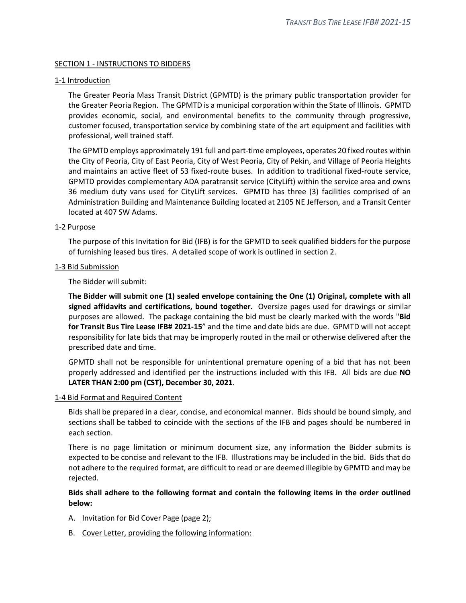#### <span id="page-11-0"></span>SECTION 1 - INSTRUCTIONS TO BIDDERS

#### <span id="page-11-1"></span>1-1 Introduction

The Greater Peoria Mass Transit District (GPMTD) is the primary public transportation provider for the Greater Peoria Region. The GPMTD is a municipal corporation within the State of Illinois. GPMTD provides economic, social, and environmental benefits to the community through progressive, customer focused, transportation service by combining state of the art equipment and facilities with professional, well trained staff.

The GPMTD employs approximately 191 full and part-time employees, operates 20 fixed routes within the City of Peoria, City of East Peoria, City of West Peoria, City of Pekin, and Village of Peoria Heights and maintains an active fleet of 53 fixed-route buses. In addition to traditional fixed-route service, GPMTD provides complementary ADA paratransit service (CityLift) within the service area and owns 36 medium duty vans used for CityLift services. GPMTD has three (3) facilities comprised of an Administration Building and Maintenance Building located at 2105 NE Jefferson, and a Transit Center located at 407 SW Adams.

#### <span id="page-11-2"></span>1-2 Purpose

The purpose of this Invitation for Bid (IFB) is for the GPMTD to seek qualified bidders for the purpose of furnishing leased bus tires. A detailed scope of work is outlined in section 2.

#### <span id="page-11-3"></span>1-3 Bid Submission

The Bidder will submit:

**The Bidder will submit one (1) sealed envelope containing the One (1) Original, complete with all signed affidavits and certifications, bound together.** Oversize pages used for drawings or similar purposes are allowed. The package containing the bid must be clearly marked with the words "**Bid for Transit Bus Tire Lease IFB# 2021-15**" and the time and date bids are due. GPMTD will not accept responsibility for late bids that may be improperly routed in the mail or otherwise delivered after the prescribed date and time.

GPMTD shall not be responsible for unintentional premature opening of a bid that has not been properly addressed and identified per the instructions included with this IFB. All bids are due **NO LATER THAN 2:00 pm (CST), December 30, 2021**.

#### <span id="page-11-4"></span>1-4 Bid Format and Required Content

Bids shall be prepared in a clear, concise, and economical manner. Bids should be bound simply, and sections shall be tabbed to coincide with the sections of the IFB and pages should be numbered in each section.

There is no page limitation or minimum document size, any information the Bidder submits is expected to be concise and relevant to the IFB. Illustrations may be included in the bid. Bids that do not adhere to the required format, are difficult to read or are deemed illegible by GPMTD and may be rejected.

## **Bids shall adhere to the following format and contain the following items in the order outlined below:**

- A. Invitation for Bid Cover Page (page 2);
- B. Cover Letter, providing the following information: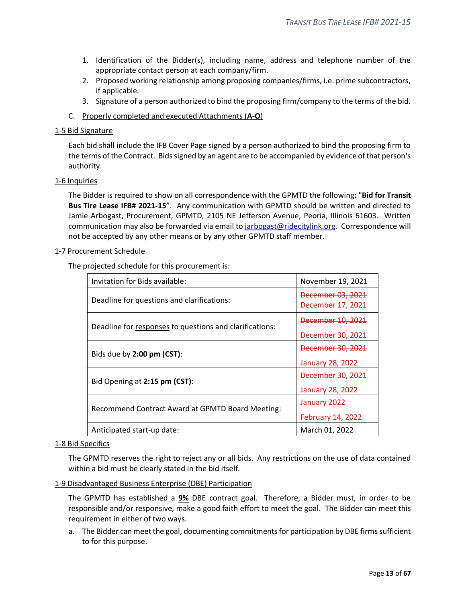- 1. Identification of the Bidder(s), including name, address and telephone number of the appropriate contact person at each company/firm.
- 2. Proposed working relationship among proposing companies/firms, i.e. prime subcontractors, if applicable.
- 3. Signature of a person authorized to bind the proposing firm/company to the terms of the bid.
- C. Properly completed and executed Attachments (**A-O**)

#### <span id="page-12-0"></span>1-5 Bid Signature

Each bid shall include the IFB Cover Page signed by a person authorized to bind the proposing firm to the terms of the Contract. Bids signed by an agent are to be accompanied by evidence of that person's authority.

#### <span id="page-12-1"></span>1-6 Inquiries

The Bidder is required to show on all correspondence with the GPMTD the following**:** "**Bid for Transit Bus Tire Lease IFB# 2021-15**". Any communication with GPMTD should be written and directed to Jamie Arbogast, Procurement, GPMTD, 2105 NE Jefferson Avenue, Peoria, Illinois 61603. Written communication may also be forwarded via email to [jarbogast@ridecitylink.org.](mailto:jarbogast@ridecitylink.org) Correspondence will not be accepted by any other means or by any other GPMTD staff member.

#### <span id="page-12-2"></span>1-7 Procurement Schedule

The projected schedule for this procurement is:

| Invitation for Bids available:                          | November 19, 2021                                       |
|---------------------------------------------------------|---------------------------------------------------------|
| Deadline for questions and clarifications:              | December 03, 2021<br>December 17, 2021                  |
| Deadline for responses to questions and clarifications: | December 10, 2021<br>December 30, 2021                  |
| Bids due by 2:00 pm (CST):                              | <del>December 30, 2021</del><br><b>January 28, 2022</b> |
| Bid Opening at 2:15 pm (CST):                           | <b>December 30, 2021</b><br><b>January 28, 2022</b>     |
| Recommend Contract Award at GPMTD Board Meeting:        | <del>January 2022</del><br><b>February 14, 2022</b>     |
| Anticipated start-up date:                              | March 01, 2022                                          |

#### <span id="page-12-3"></span>1-8 Bid Specifics

The GPMTD reserves the right to reject any or all bids. Any restrictions on the use of data contained within a bid must be clearly stated in the bid itself.

<span id="page-12-4"></span>1-9 Disadvantaged Business Enterprise (DBE) Participation

The GPMTD has established a **9%** DBE contract goal. Therefore, a Bidder must, in order to be responsible and/or responsive, make a good faith effort to meet the goal. The Bidder can meet this requirement in either of two ways.

a. The Bidder can meet the goal, documenting commitments for participation by DBE firms sufficient to for this purpose.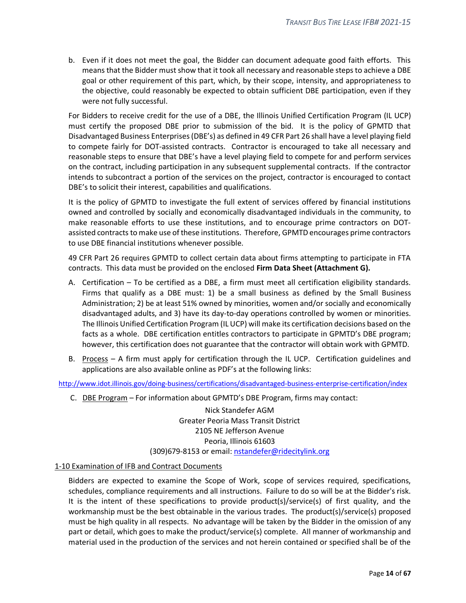b. Even if it does not meet the goal, the Bidder can document adequate good faith efforts. This means that the Bidder must show that it took all necessary and reasonable steps to achieve a DBE goal or other requirement of this part, which, by their scope, intensity, and appropriateness to the objective, could reasonably be expected to obtain sufficient DBE participation, even if they were not fully successful.

For Bidders to receive credit for the use of a DBE, the Illinois Unified Certification Program (IL UCP) must certify the proposed DBE prior to submission of the bid. It is the policy of GPMTD that Disadvantaged Business Enterprises (DBE's) as defined in 49 CFR Part 26 shall have a level playing field to compete fairly for DOT-assisted contracts. Contractor is encouraged to take all necessary and reasonable steps to ensure that DBE's have a level playing field to compete for and perform services on the contract, including participation in any subsequent supplemental contracts. If the contractor intends to subcontract a portion of the services on the project, contractor is encouraged to contact DBE's to solicit their interest, capabilities and qualifications.

It is the policy of GPMTD to investigate the full extent of services offered by financial institutions owned and controlled by socially and economically disadvantaged individuals in the community, to make reasonable efforts to use these institutions, and to encourage prime contractors on DOTassisted contracts to make use of these institutions. Therefore, GPMTD encourages prime contractors to use DBE financial institutions whenever possible.

49 CFR Part 26 requires GPMTD to collect certain data about firms attempting to participate in FTA contracts. This data must be provided on the enclosed **Firm Data Sheet (Attachment G).**

- A. Certification To be certified as a DBE, a firm must meet all certification eligibility standards. Firms that qualify as a DBE must: 1) be a small business as defined by the Small Business Administration; 2) be at least 51% owned by minorities, women and/or socially and economically disadvantaged adults, and 3) have its day-to-day operations controlled by women or minorities. The Illinois Unified Certification Program (IL UCP) will make its certification decisions based on the facts as a whole. DBE certification entitles contractors to participate in GPMTD's DBE program; however, this certification does not guarantee that the contractor will obtain work with GPMTD.
- B. Process A firm must apply for certification through the IL UCP. Certification guidelines and applications are also available online as PDF's at the following links:

<http://www.idot.illinois.gov/doing-business/certifications/disadvantaged-business-enterprise-certification/index>

C. DBE Program – For information about GPMTD's DBE Program, firms may contact:

Nick Standefer AGM Greater Peoria Mass Transit District 2105 NE Jefferson Avenue Peoria, Illinois 61603 (309)679-8153 or email[: nstandefer@ridecitylink.org](mailto:nstandefer@ridecitylink.org)

#### <span id="page-13-0"></span>1-10 Examination of IFB and Contract Documents

Bidders are expected to examine the Scope of Work, scope of services required, specifications, schedules, compliance requirements and all instructions. Failure to do so will be at the Bidder's risk. It is the intent of these specifications to provide product(s)/service(s) of first quality, and the workmanship must be the best obtainable in the various trades. The product(s)/service(s) proposed must be high quality in all respects. No advantage will be taken by the Bidder in the omission of any part or detail, which goes to make the product/service(s) complete. All manner of workmanship and material used in the production of the services and not herein contained or specified shall be of the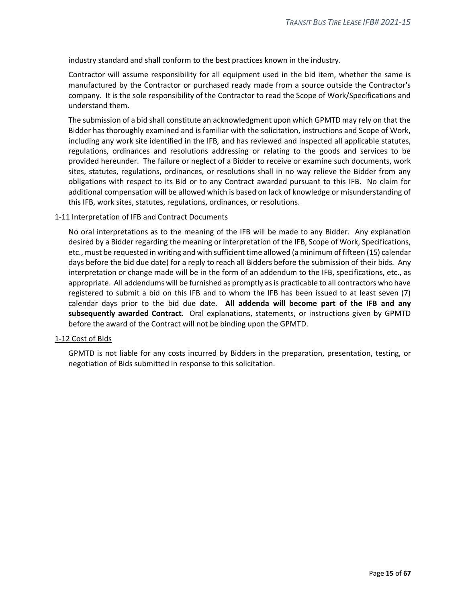industry standard and shall conform to the best practices known in the industry.

Contractor will assume responsibility for all equipment used in the bid item, whether the same is manufactured by the Contractor or purchased ready made from a source outside the Contractor's company. It is the sole responsibility of the Contractor to read the Scope of Work/Specifications and understand them.

The submission of a bid shall constitute an acknowledgment upon which GPMTD may rely on that the Bidder has thoroughly examined and is familiar with the solicitation, instructions and Scope of Work, including any work site identified in the IFB, and has reviewed and inspected all applicable statutes, regulations, ordinances and resolutions addressing or relating to the goods and services to be provided hereunder. The failure or neglect of a Bidder to receive or examine such documents, work sites, statutes, regulations, ordinances, or resolutions shall in no way relieve the Bidder from any obligations with respect to its Bid or to any Contract awarded pursuant to this IFB. No claim for additional compensation will be allowed which is based on lack of knowledge or misunderstanding of this IFB, work sites, statutes, regulations, ordinances, or resolutions.

#### <span id="page-14-0"></span>1-11 Interpretation of IFB and Contract Documents

No oral interpretations as to the meaning of the IFB will be made to any Bidder. Any explanation desired by a Bidder regarding the meaning or interpretation of the IFB, Scope of Work, Specifications, etc., must be requested in writing and with sufficient time allowed (a minimum of fifteen (15) calendar days before the bid due date) for a reply to reach all Bidders before the submission of their bids. Any interpretation or change made will be in the form of an addendum to the IFB, specifications, etc., as appropriate. All addendums will be furnished as promptly as is practicable to all contractors who have registered to submit a bid on this IFB and to whom the IFB has been issued to at least seven (7) calendar days prior to the bid due date. **All addenda will become part of the IFB and any subsequently awarded Contract**. Oral explanations, statements, or instructions given by GPMTD before the award of the Contract will not be binding upon the GPMTD.

#### <span id="page-14-1"></span>1-12 Cost of Bids

GPMTD is not liable for any costs incurred by Bidders in the preparation, presentation, testing, or negotiation of Bids submitted in response to this solicitation.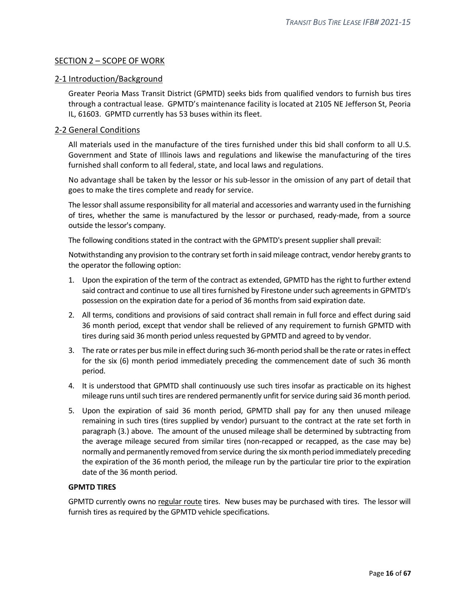## <span id="page-15-0"></span>SECTION 2 – SCOPE OF WORK

## <span id="page-15-1"></span>2-1 Introduction/Background

Greater Peoria Mass Transit District (GPMTD) seeks bids from qualified vendors to furnish bus tires through a contractual lease. GPMTD's maintenance facility is located at 2105 NE Jefferson St, Peoria IL, 61603. GPMTD currently has 53 buses within its fleet.

## <span id="page-15-2"></span>2-2 General Conditions

All materials used in the manufacture of the tires furnished under this bid shall conform to all U.S. Government and State of Illinois laws and regulations and likewise the manufacturing of the tires furnished shall conform to all federal, state, and local laws and regulations.

No advantage shall be taken by the lessor or his sub-lessor in the omission of any part of detail that goes to make the tires complete and ready for service.

The lessor shall assume responsibility for all material and accessories and warranty used in the furnishing of tires, whether the same is manufactured by the lessor or purchased, ready-made, from a source outside the lessor's company.

The following conditions stated in the contract with the GPMTD's present supplier shall prevail:

Notwithstanding any provision to the contrary set forth in said mileage contract, vendor hereby grants to the operator the following option:

- 1. Upon the expiration of the term of the contract as extended, GPMTD has the right to further extend said contract and continue to use all tires furnished by Firestone under such agreements in GPMTD's possession on the expiration date for a period of 36 months from said expiration date.
- 2. All terms, conditions and provisions of said contract shall remain in full force and effect during said 36 month period, except that vendor shall be relieved of any requirement to furnish GPMTD with tires during said 36 month period unless requested by GPMTD and agreed to by vendor.
- 3. The rate or rates per bus mile in effect during such 36-month period shall be the rate or rates in effect for the six (6) month period immediately preceding the commencement date of such 36 month period.
- 4. It is understood that GPMTD shall continuously use such tires insofar as practicable on its highest mileage runs until such tires are rendered permanently unfit for service during said 36 month period.
- 5. Upon the expiration of said 36 month period, GPMTD shall pay for any then unused mileage remaining in such tires (tires supplied by vendor) pursuant to the contract at the rate set forth in paragraph (3.) above. The amount of the unused mileage shall be determined by subtracting from the average mileage secured from similar tires (non-recapped or recapped, as the case may be) normally and permanently removed from service during the six month period immediately preceding the expiration of the 36 month period, the mileage run by the particular tire prior to the expiration date of the 36 month period.

## **GPMTD TIRES**

GPMTD currently owns no regular route tires. New buses may be purchased with tires. The lessor will furnish tires as required by the GPMTD vehicle specifications.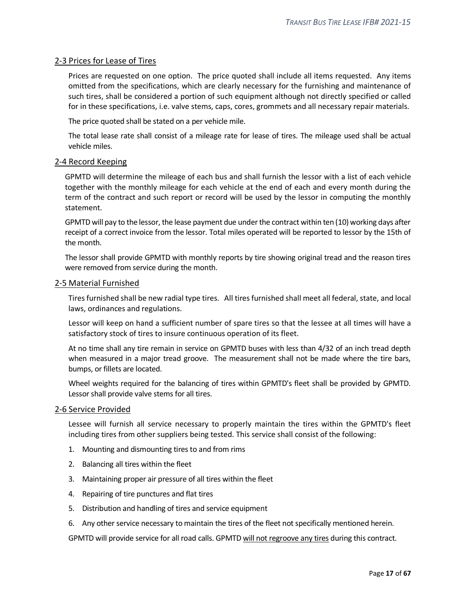## <span id="page-16-0"></span>2-3 Prices for Lease of Tires

Prices are requested on one option. The price quoted shall include all items requested. Any items omitted from the specifications, which are clearly necessary for the furnishing and maintenance of such tires, shall be considered a portion of such equipment although not directly specified or called for in these specifications, i.e. valve stems, caps, cores, grommets and all necessary repair materials.

The price quoted shall be stated on a per vehicle mile.

The total lease rate shall consist of a mileage rate for lease of tires. The mileage used shall be actual vehicle miles.

#### <span id="page-16-1"></span>2-4 Record Keeping

GPMTD will determine the mileage of each bus and shall furnish the lessor with a list of each vehicle together with the monthly mileage for each vehicle at the end of each and every month during the term of the contract and such report or record will be used by the lessor in computing the monthly statement.

GPMTD will pay to the lessor, the lease payment due under the contract within ten (10) working days after receipt of a correct invoice from the lessor. Total miles operated will be reported to lessor by the 15th of the month.

The lessor shall provide GPMTD with monthly reports by tire showing original tread and the reason tires were removed from service during the month.

#### <span id="page-16-2"></span>2-5 Material Furnished

Tires furnished shall be new radial type tires. All tires furnished shall meet all federal, state, and local laws, ordinances and regulations.

Lessor will keep on hand a sufficient number of spare tires so that the lessee at all times will have a satisfactory stock of tires to insure continuous operation of its fleet.

At no time shall any tire remain in service on GPMTD buses with less than 4/32 of an inch tread depth when measured in a major tread groove. The measurement shall not be made where the tire bars, bumps, or fillets are located.

Wheel weights required for the balancing of tires within GPMTD's fleet shall be provided by GPMTD. Lessor shall provide valve stems for all tires.

#### <span id="page-16-3"></span>2-6 Service Provided

Lessee will furnish all service necessary to properly maintain the tires within the GPMTD's fleet including tires from other suppliers being tested. This service shall consist of the following:

- 1. Mounting and dismounting tires to and from rims
- 2. Balancing all tires within the fleet
- 3. Maintaining proper air pressure of all tires within the fleet
- 4. Repairing of tire punctures and flat tires
- 5. Distribution and handling of tires and service equipment
- 6. Any other service necessary to maintain the tires of the fleet not specifically mentioned herein.

GPMTD will provide service for all road calls. GPMTD will not regroove any tires during this contract.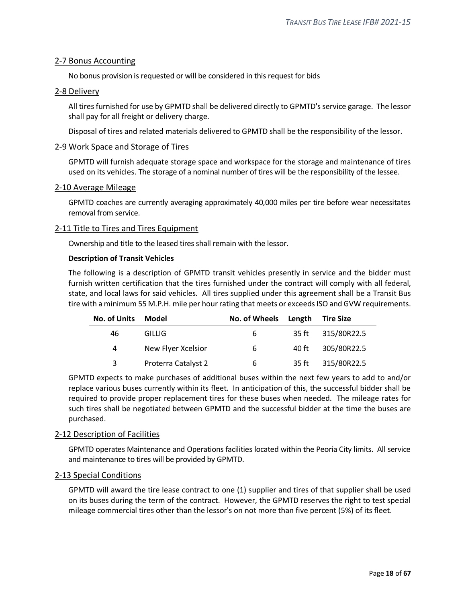## <span id="page-17-0"></span>2-7 Bonus Accounting

No bonus provision is requested or will be considered in this request for bids

#### <span id="page-17-1"></span>2-8 Delivery

All tires furnished for use by GPMTD shall be delivered directly to GPMTD's service garage. The lessor shall pay for all freight or delivery charge.

Disposal of tires and related materials delivered to GPMTD shall be the responsibility of the lessor.

#### <span id="page-17-2"></span>2-9 Work Space and Storage of Tires

GPMTD will furnish adequate storage space and workspace for the storage and maintenance of tires used on its vehicles. The storage of a nominal number of tires will be the responsibility of the lessee.

#### <span id="page-17-3"></span>2-10 Average Mileage

GPMTD coaches are currently averaging approximately 40,000 miles per tire before wear necessitates removal from service.

#### <span id="page-17-4"></span>2-11 Title to Tires and Tires Equipment

Ownership and title to the leased tires shall remain with the lessor.

#### **Description of Transit Vehicles**

The following is a description of GPMTD transit vehicles presently in service and the bidder must furnish written certification that the tires furnished under the contract will comply with all federal, state, and local laws for said vehicles. All tires supplied under this agreement shall be a Transit Bus tire with a minimum 55 M.P.H. mile per hour rating that meets or exceeds ISO and GVW requirements.

| No. of Units | Model               | No. of Wheels Length |       | <b>Tire Size</b>  |  |
|--------------|---------------------|----------------------|-------|-------------------|--|
| 46           | GILLIG.             | 6                    |       | 35 ft 315/80R22.5 |  |
| 4            | New Flyer Xcelsior  | 6                    | 40 ft | 305/80R22.5       |  |
| 3            | Proterra Catalyst 2 | 6                    | 35 ft | 315/80R22.5       |  |

GPMTD expects to make purchases of additional buses within the next few years to add to and/or replace various buses currently within its fleet. In anticipation of this, the successful bidder shall be required to provide proper replacement tires for these buses when needed. The mileage rates for such tires shall be negotiated between GPMTD and the successful bidder at the time the buses are purchased.

## <span id="page-17-5"></span>2-12 Description of Facilities

GPMTD operates Maintenance and Operations facilities located within the Peoria City limits. All service and maintenance to tires will be provided by GPMTD.

## <span id="page-17-6"></span>2-13 Special Conditions

GPMTD will award the tire lease contract to one (1) supplier and tires of that supplier shall be used on its buses during the term of the contract. However, the GPMTD reserves the right to test special mileage commercial tires other than the lessor's on not more than five percent (5%) of its fleet.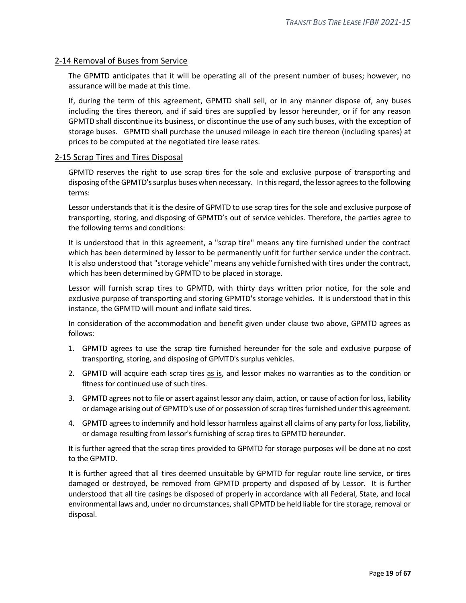## <span id="page-18-0"></span>2-14 Removal of Buses from Service

The GPMTD anticipates that it will be operating all of the present number of buses; however, no assurance will be made at this time.

If, during the term of this agreement, GPMTD shall sell, or in any manner dispose of, any buses including the tires thereon, and if said tires are supplied by lessor hereunder, or if for any reason GPMTD shall discontinue its business, or discontinue the use of any such buses, with the exception of storage buses. GPMTD shall purchase the unused mileage in each tire thereon (including spares) at prices to be computed at the negotiated tire lease rates.

## <span id="page-18-1"></span>2-15 Scrap Tires and Tires Disposal

GPMTD reserves the right to use scrap tires for the sole and exclusive purpose of transporting and disposing of the GPMTD's surplus buses when necessary. In this regard, the lessor agrees to the following terms:

Lessor understands that it is the desire of GPMTD to use scrap tires for the sole and exclusive purpose of transporting, storing, and disposing of GPMTD's out of service vehicles. Therefore, the parties agree to the following terms and conditions:

It is understood that in this agreement, a "scrap tire" means any tire furnished under the contract which has been determined by lessor to be permanently unfit for further service under the contract. It is also understood that "storage vehicle" means any vehicle furnished with tires under the contract, which has been determined by GPMTD to be placed in storage.

Lessor will furnish scrap tires to GPMTD, with thirty days written prior notice, for the sole and exclusive purpose of transporting and storing GPMTD's storage vehicles. It is understood that in this instance, the GPMTD will mount and inflate said tires.

In consideration of the accommodation and benefit given under clause two above, GPMTD agrees as follows:

- 1. GPMTD agrees to use the scrap tire furnished hereunder for the sole and exclusive purpose of transporting, storing, and disposing of GPMTD's surplus vehicles.
- 2. GPMTD will acquire each scrap tires as is, and lessor makes no warranties as to the condition or fitness for continued use of such tires.
- 3. GPMTD agrees not to file or assert against lessor any claim, action, or cause of action for loss, liability or damage arising out of GPMTD's use of or possession of scrap tires furnished under this agreement.
- 4. GPMTD agrees to indemnify and hold lessor harmless against all claims of any party for loss, liability, or damage resulting from lessor's furnishing of scrap tires to GPMTD hereunder.

It is further agreed that the scrap tires provided to GPMTD for storage purposes will be done at no cost to the GPMTD.

It is further agreed that all tires deemed unsuitable by GPMTD for regular route line service, or tires damaged or destroyed, be removed from GPMTD property and disposed of by Lessor. It is further understood that all tire casings be disposed of properly in accordance with all Federal, State, and local environmental laws and, under no circumstances, shall GPMTD be held liable for tire storage, removal or disposal.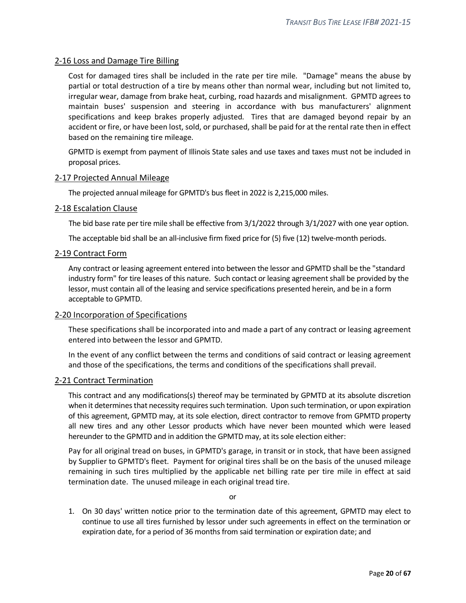## <span id="page-19-0"></span>2-16 Loss and Damage Tire Billing

Cost for damaged tires shall be included in the rate per tire mile. "Damage" means the abuse by partial or total destruction of a tire by means other than normal wear, including but not limited to, irregular wear, damage from brake heat, curbing, road hazards and misalignment. GPMTD agrees to maintain buses' suspension and steering in accordance with bus manufacturers' alignment specifications and keep brakes properly adjusted. Tires that are damaged beyond repair by an accident or fire, or have been lost, sold, or purchased, shall be paid for at the rental rate then in effect based on the remaining tire mileage.

GPMTD is exempt from payment of Illinois State sales and use taxes and taxes must not be included in proposal prices.

#### <span id="page-19-1"></span>2-17 Projected Annual Mileage

The projected annual mileage for GPMTD's bus fleet in 2022 is 2,215,000 miles.

#### <span id="page-19-2"></span>2-18 Escalation Clause

The bid base rate per tire mile shall be effective from 3/1/2022 through 3/1/2027 with one year option.

The acceptable bid shall be an all-inclusive firm fixed price for (5) five (12) twelve-month periods.

#### <span id="page-19-3"></span>2-19 Contract Form

Any contract or leasing agreement entered into between the lessor and GPMTD shall be the "standard industry form" for tire leases of this nature. Such contact or leasing agreement shall be provided by the lessor, must contain all of the leasing and service specifications presented herein, and be in a form acceptable to GPMTD.

#### <span id="page-19-4"></span>2-20 Incorporation of Specifications

These specifications shall be incorporated into and made a part of any contract or leasing agreement entered into between the lessor and GPMTD.

In the event of any conflict between the terms and conditions of said contract or leasing agreement and those of the specifications, the terms and conditions of the specifications shall prevail.

#### <span id="page-19-5"></span>2-21 Contract Termination

This contract and any modifications(s) thereof may be terminated by GPMTD at its absolute discretion when it determines that necessity requires such termination. Upon such termination, or upon expiration of this agreement, GPMTD may, at its sole election, direct contractor to remove from GPMTD property all new tires and any other Lessor products which have never been mounted which were leased hereunder to the GPMTD and in addition the GPMTD may, at its sole election either:

Pay for all original tread on buses, in GPMTD's garage, in transit or in stock, that have been assigned by Supplier to GPMTD's fleet. Payment for original tires shall be on the basis of the unused mileage remaining in such tires multiplied by the applicable net billing rate per tire mile in effect at said termination date. The unused mileage in each original tread tire.

or

1. On 30 days' written notice prior to the termination date of this agreement, GPMTD may elect to continue to use all tires furnished by lessor under such agreements in effect on the termination or expiration date, for a period of 36 months from said termination or expiration date; and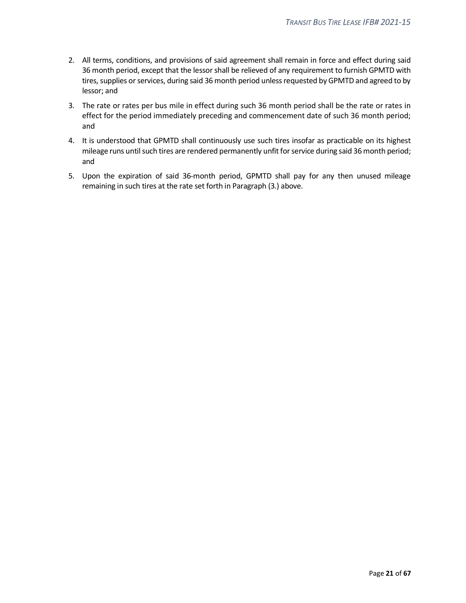- 2. All terms, conditions, and provisions of said agreement shall remain in force and effect during said 36 month period, except that the lessor shall be relieved of any requirement to furnish GPMTD with tires, supplies or services, during said 36 month period unless requested by GPMTD and agreed to by lessor; and
- 3. The rate or rates per bus mile in effect during such 36 month period shall be the rate or rates in effect for the period immediately preceding and commencement date of such 36 month period; and
- 4. It is understood that GPMTD shall continuously use such tires insofar as practicable on its highest mileage runs until such tires are rendered permanently unfit for service during said 36 month period; and
- 5. Upon the expiration of said 36-month period, GPMTD shall pay for any then unused mileage remaining in such tires at the rate set forth in Paragraph (3.) above.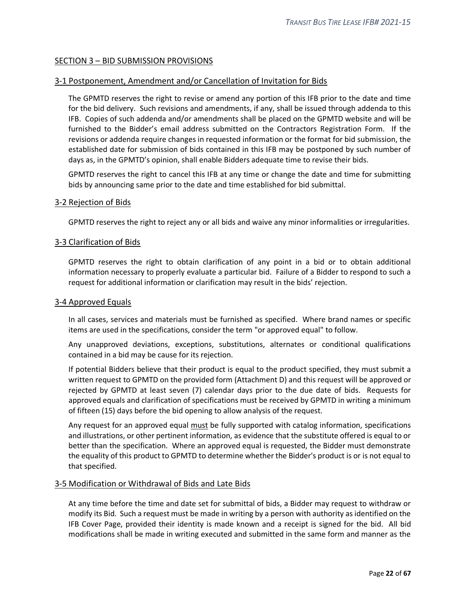## <span id="page-21-0"></span>SECTION 3 – BID SUBMISSION PROVISIONS

#### <span id="page-21-1"></span>3-1 Postponement, Amendment and/or Cancellation of Invitation for Bids

The GPMTD reserves the right to revise or amend any portion of this IFB prior to the date and time for the bid delivery. Such revisions and amendments, if any, shall be issued through addenda to this IFB. Copies of such addenda and/or amendments shall be placed on the GPMTD website and will be furnished to the Bidder's email address submitted on the Contractors Registration Form. If the revisions or addenda require changes in requested information or the format for bid submission, the established date for submission of bids contained in this IFB may be postponed by such number of days as, in the GPMTD's opinion, shall enable Bidders adequate time to revise their bids.

GPMTD reserves the right to cancel this IFB at any time or change the date and time for submitting bids by announcing same prior to the date and time established for bid submittal.

#### <span id="page-21-2"></span>3-2 Rejection of Bids

GPMTD reserves the right to reject any or all bids and waive any minor informalities or irregularities.

#### <span id="page-21-3"></span>3-3 Clarification of Bids

GPMTD reserves the right to obtain clarification of any point in a bid or to obtain additional information necessary to properly evaluate a particular bid. Failure of a Bidder to respond to such a request for additional information or clarification may result in the bids' rejection.

#### <span id="page-21-4"></span>3-4 Approved Equals

In all cases, services and materials must be furnished as specified. Where brand names or specific items are used in the specifications, consider the term "or approved equal" to follow.

Any unapproved deviations, exceptions, substitutions, alternates or conditional qualifications contained in a bid may be cause for its rejection.

If potential Bidders believe that their product is equal to the product specified, they must submit a written request to GPMTD on the provided form (Attachment D) and this request will be approved or rejected by GPMTD at least seven (7) calendar days prior to the due date of bids. Requests for approved equals and clarification of specifications must be received by GPMTD in writing a minimum of fifteen (15) days before the bid opening to allow analysis of the request.

Any request for an approved equal must be fully supported with catalog information, specifications and illustrations, or other pertinent information, as evidence that the substitute offered is equal to or better than the specification. Where an approved equal is requested, the Bidder must demonstrate the equality of this product to GPMTD to determine whether the Bidder's product is or is not equal to that specified.

#### <span id="page-21-5"></span>3-5 Modification or Withdrawal of Bids and Late Bids

At any time before the time and date set for submittal of bids, a Bidder may request to withdraw or modify its Bid. Such a request must be made in writing by a person with authority as identified on the IFB Cover Page, provided their identity is made known and a receipt is signed for the bid. All bid modifications shall be made in writing executed and submitted in the same form and manner as the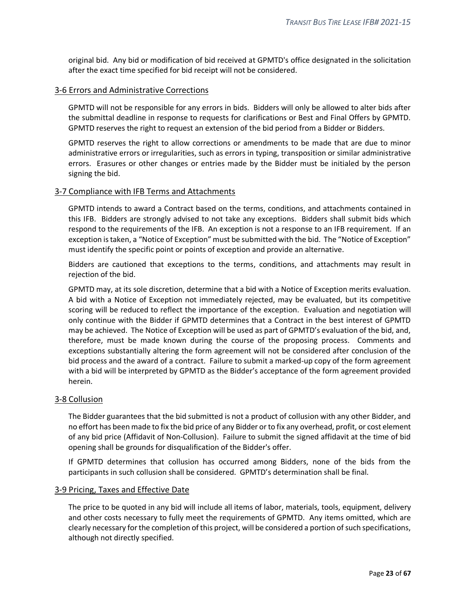original bid. Any bid or modification of bid received at GPMTD's office designated in the solicitation after the exact time specified for bid receipt will not be considered.

#### <span id="page-22-0"></span>3-6 Errors and Administrative Corrections

GPMTD will not be responsible for any errors in bids. Bidders will only be allowed to alter bids after the submittal deadline in response to requests for clarifications or Best and Final Offers by GPMTD. GPMTD reserves the right to request an extension of the bid period from a Bidder or Bidders.

GPMTD reserves the right to allow corrections or amendments to be made that are due to minor administrative errors or irregularities, such as errors in typing, transposition or similar administrative errors. Erasures or other changes or entries made by the Bidder must be initialed by the person signing the bid.

#### <span id="page-22-1"></span>3-7 Compliance with IFB Terms and Attachments

GPMTD intends to award a Contract based on the terms, conditions, and attachments contained in this IFB. Bidders are strongly advised to not take any exceptions. Bidders shall submit bids which respond to the requirements of the IFB. An exception is not a response to an IFB requirement. If an exception is taken, a "Notice of Exception" must be submitted with the bid. The "Notice of Exception" must identify the specific point or points of exception and provide an alternative.

Bidders are cautioned that exceptions to the terms, conditions, and attachments may result in rejection of the bid.

GPMTD may, at its sole discretion, determine that a bid with a Notice of Exception merits evaluation. A bid with a Notice of Exception not immediately rejected, may be evaluated, but its competitive scoring will be reduced to reflect the importance of the exception. Evaluation and negotiation will only continue with the Bidder if GPMTD determines that a Contract in the best interest of GPMTD may be achieved. The Notice of Exception will be used as part of GPMTD's evaluation of the bid, and, therefore, must be made known during the course of the proposing process. Comments and exceptions substantially altering the form agreement will not be considered after conclusion of the bid process and the award of a contract. Failure to submit a marked-up copy of the form agreement with a bid will be interpreted by GPMTD as the Bidder's acceptance of the form agreement provided herein.

#### <span id="page-22-2"></span>3-8 Collusion

The Bidder guarantees that the bid submitted is not a product of collusion with any other Bidder, and no effort has been made to fix the bid price of any Bidder or to fix any overhead, profit, or cost element of any bid price (Affidavit of Non-Collusion). Failure to submit the signed affidavit at the time of bid opening shall be grounds for disqualification of the Bidder's offer.

If GPMTD determines that collusion has occurred among Bidders, none of the bids from the participants in such collusion shall be considered. GPMTD's determination shall be final.

#### <span id="page-22-3"></span>3-9 Pricing, Taxes and Effective Date

The price to be quoted in any bid will include all items of labor, materials, tools, equipment, delivery and other costs necessary to fully meet the requirements of GPMTD. Any items omitted, which are clearly necessary for the completion of this project, will be considered a portion of such specifications, although not directly specified.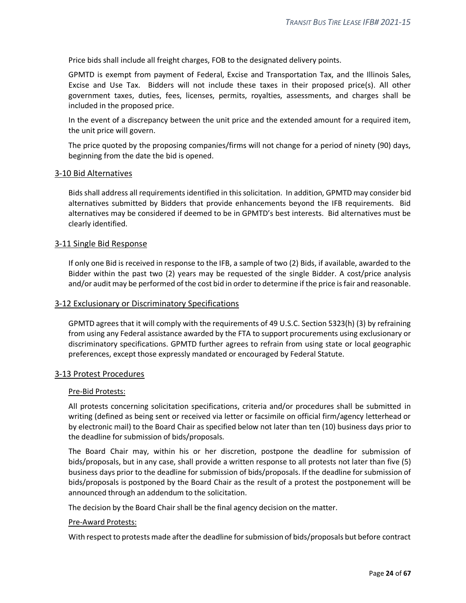Price bids shall include all freight charges, FOB to the designated delivery points.

GPMTD is exempt from payment of Federal, Excise and Transportation Tax, and the Illinois Sales, Excise and Use Tax. Bidders will not include these taxes in their proposed price(s). All other government taxes, duties, fees, licenses, permits, royalties, assessments, and charges shall be included in the proposed price.

In the event of a discrepancy between the unit price and the extended amount for a required item, the unit price will govern.

The price quoted by the proposing companies/firms will not change for a period of ninety (90) days, beginning from the date the bid is opened.

#### <span id="page-23-0"></span>3-10 Bid Alternatives

Bids shall address all requirements identified in this solicitation. In addition, GPMTD may consider bid alternatives submitted by Bidders that provide enhancements beyond the IFB requirements. Bid alternatives may be considered if deemed to be in GPMTD's best interests. Bid alternatives must be clearly identified.

#### <span id="page-23-1"></span>3-11 Single Bid Response

If only one Bid is received in response to the IFB, a sample of two (2) Bids, if available, awarded to the Bidder within the past two (2) years may be requested of the single Bidder. A cost/price analysis and/or audit may be performed of the cost bid in order to determine if the price is fair and reasonable.

#### <span id="page-23-2"></span>3-12 Exclusionary or Discriminatory Specifications

GPMTD agrees that it will comply with the requirements of 49 U.S.C. Section 5323(h) (3) by refraining from using any Federal assistance awarded by the FTA to support procurements using exclusionary or discriminatory specifications. GPMTD further agrees to refrain from using state or local geographic preferences, except those expressly mandated or encouraged by Federal Statute.

#### <span id="page-23-3"></span>3-13 Protest Procedures

#### Pre-Bid Protests:

All protests concerning solicitation specifications, criteria and/or procedures shall be submitted in writing (defined as being sent or received via letter or facsimile on official firm/agency letterhead or by electronic mail) to the Board Chair as specified below not later than ten (10) business days prior to the deadline for submission of bids/proposals.

The Board Chair may, within his or her discretion, postpone the deadline for submission of bids/proposals, but in any case, shall provide a written response to all protests not later than five (5) business days prior to the deadline for submission of bids/proposals. If the deadline for submission of bids/proposals is postponed by the Board Chair as the result of a protest the postponement will be announced through an addendum to the solicitation.

The decision by the Board Chair shall be the final agency decision on the matter.

#### Pre-Award Protests:

With respect to protests made after the deadline for submission of bids/proposals but before contract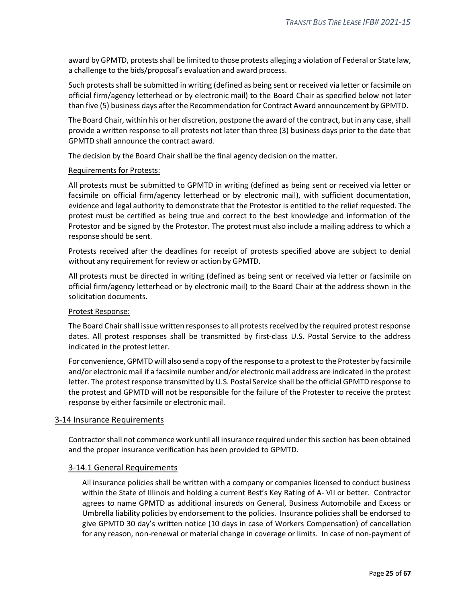award by GPMTD, protests shall be limited to those protests alleging a violation of Federal or State law, a challenge to the bids/proposal's evaluation and award process.

Such protests shall be submitted in writing (defined as being sent or received via letter or facsimile on official firm/agency letterhead or by electronic mail) to the Board Chair as specified below not later than five (5) business days after the Recommendation for Contract Award announcement by GPMTD.

The Board Chair, within his or her discretion, postpone the award of the contract, but in any case, shall provide a written response to all protests not later than three (3) business days prior to the date that GPMTD shall announce the contract award.

The decision by the Board Chair shall be the final agency decision on the matter.

#### Requirements for Protests:

All protests must be submitted to GPMTD in writing (defined as being sent or received via letter or facsimile on official firm/agency letterhead or by electronic mail), with sufficient documentation, evidence and legal authority to demonstrate that the Protestor is entitled to the relief requested. The protest must be certified as being true and correct to the best knowledge and information of the Protestor and be signed by the Protestor. The protest must also include a mailing address to which a response should be sent.

Protests received after the deadlines for receipt of protests specified above are subject to denial without any requirement for review or action by GPMTD.

All protests must be directed in writing (defined as being sent or received via letter or facsimile on official firm/agency letterhead or by electronic mail) to the Board Chair at the address shown in the solicitation documents.

#### Protest Response:

The Board Chair shall issue written responses to all protests received by the required protest response dates. All protest responses shall be transmitted by first-class U.S. Postal Service to the address indicated in the protest letter.

For convenience, GPMTD will also send a copy of the response to a protest to the Protester by facsimile and/or electronic mail if a facsimile number and/or electronic mail address are indicated in the protest letter. The protest response transmitted by U.S. Postal Service shall be the official GPMTD response to the protest and GPMTD will not be responsible for the failure of the Protester to receive the protest response by either facsimile or electronic mail.

#### <span id="page-24-0"></span>3-14 Insurance Requirements

Contractor shall not commence work until all insurance required under this section has been obtained and the proper insurance verification has been provided to GPMTD.

## <span id="page-24-1"></span>3-14.1 General Requirements

All insurance policies shall be written with a company or companies licensed to conduct business within the State of Illinois and holding a current Best's Key Rating of A- VII or better. Contractor agrees to name GPMTD as additional insureds on General, Business Automobile and Excess or Umbrella liability policies by endorsement to the policies. Insurance policies shall be endorsed to give GPMTD 30 day's written notice (10 days in case of Workers Compensation) of cancellation for any reason, non-renewal or material change in coverage or limits. In case of non-payment of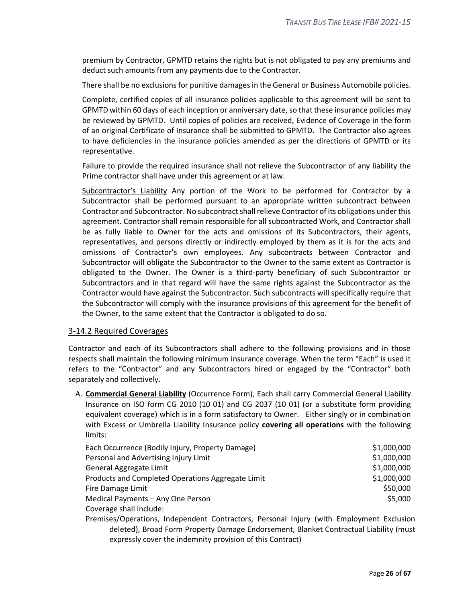premium by Contractor, GPMTD retains the rights but is not obligated to pay any premiums and deduct such amounts from any payments due to the Contractor.

There shall be no exclusions for punitive damages in the General or Business Automobile policies.

Complete, certified copies of all insurance policies applicable to this agreement will be sent to GPMTD within 60 days of each inception or anniversary date, so that these insurance policies may be reviewed by GPMTD. Until copies of policies are received, Evidence of Coverage in the form of an original Certificate of Insurance shall be submitted to GPMTD. The Contractor also agrees to have deficiencies in the insurance policies amended as per the directions of GPMTD or its representative.

Failure to provide the required insurance shall not relieve the Subcontractor of any liability the Prime contractor shall have under this agreement or at law.

Subcontractor's Liability Any portion of the Work to be performed for Contractor by a Subcontractor shall be performed pursuant to an appropriate written subcontract between Contractor and Subcontractor. No subcontract shall relieve Contractor of its obligations under this agreement. Contractor shall remain responsible for all subcontracted Work, and Contractor shall be as fully liable to Owner for the acts and omissions of its Subcontractors, their agents, representatives, and persons directly or indirectly employed by them as it is for the acts and omissions of Contractor's own employees. Any subcontracts between Contractor and Subcontractor will obligate the Subcontractor to the Owner to the same extent as Contractor is obligated to the Owner. The Owner is a third-party beneficiary of such Subcontractor or Subcontractors and in that regard will have the same rights against the Subcontractor as the Contractor would have against the Subcontractor. Such subcontracts will specifically require that the Subcontractor will comply with the insurance provisions of this agreement for the benefit of the Owner, to the same extent that the Contractor is obligated to do so.

## <span id="page-25-0"></span>3-14.2 Required Coverages

Contractor and each of its Subcontractors shall adhere to the following provisions and in those respects shall maintain the following minimum insurance coverage. When the term "Each" is used it refers to the "Contractor" and any Subcontractors hired or engaged by the "Contractor" both separately and collectively.

A. **Commercial General Liability** (Occurrence Form), Each shall carry Commercial General Liability Insurance on ISO form CG 2010 (10 01) and CG 2037 (10 01) (or a substitute form providing equivalent coverage) which is in a form satisfactory to Owner. Either singly or in combination with Excess or Umbrella Liability Insurance policy **covering all operations** with the following limits:

| Each Occurrence (Bodily Injury, Property Damage)  | \$1,000,000 |
|---------------------------------------------------|-------------|
| Personal and Advertising Injury Limit             | \$1,000,000 |
| General Aggregate Limit                           | \$1,000,000 |
| Products and Completed Operations Aggregate Limit | \$1,000,000 |
| Fire Damage Limit                                 | \$50,000    |
| Medical Payments - Any One Person                 | \$5,000     |
| Coverage shall include:                           |             |

Premises/Operations, Independent Contractors, Personal Injury (with Employment Exclusion deleted), Broad Form Property Damage Endorsement, Blanket Contractual Liability (must expressly cover the indemnity provision of this Contract)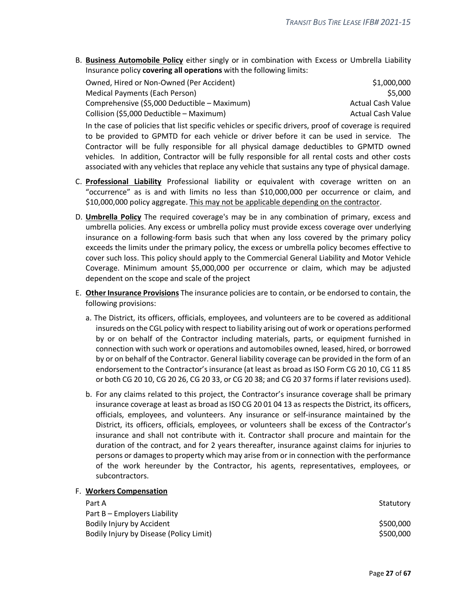B. **Business Automobile Policy** either singly or in combination with Excess or Umbrella Liability Insurance policy **covering all operations** with the following limits:

| Owned, Hired or Non-Owned (Per Accident)     | \$1,000,000       |
|----------------------------------------------|-------------------|
| Medical Payments (Each Person)               | S5.000            |
| Comprehensive (\$5,000 Deductible – Maximum) | Actual Cash Value |
| Collision (\$5,000 Deductible - Maximum)     | Actual Cash Value |

In the case of policies that list specific vehicles or specific drivers, proof of coverage is required to be provided to GPMTD for each vehicle or driver before it can be used in service. The Contractor will be fully responsible for all physical damage deductibles to GPMTD owned vehicles. In addition, Contractor will be fully responsible for all rental costs and other costs associated with any vehicles that replace any vehicle that sustains any type of physical damage.

- C. **Professional Liability** Professional liability or equivalent with coverage written on an "occurrence" as is and with limits no less than \$10,000,000 per occurrence or claim, and \$10,000,000 policy aggregate. This may not be applicable depending on the contractor.
- D. **Umbrella Policy** The required coverage's may be in any combination of primary, excess and umbrella policies. Any excess or umbrella policy must provide excess coverage over underlying insurance on a following-form basis such that when any loss covered by the primary policy exceeds the limits under the primary policy, the excess or umbrella policy becomes effective to cover such loss. This policy should apply to the Commercial General Liability and Motor Vehicle Coverage. Minimum amount \$5,000,000 per occurrence or claim, which may be adjusted dependent on the scope and scale of the project
- E. **Other Insurance Provisions** The insurance policies are to contain, or be endorsed to contain, the following provisions:
	- a. The District, its officers, officials, employees, and volunteers are to be covered as additional insureds on the CGL policy with respect to liability arising out of work or operations performed by or on behalf of the Contractor including materials, parts, or equipment furnished in connection with such work or operations and automobiles owned, leased, hired, or borrowed by or on behalf of the Contractor. General liability coverage can be provided in the form of an endorsement to the Contractor's insurance (at least as broad as ISO Form CG 20 10, CG 11 85 or both CG 20 10, CG 20 26, CG 20 33, or CG 20 38; and CG 20 37 forms if later revisions used).
	- b. For any claims related to this project, the Contractor's insurance coverage shall be primary insurance coverage at least as broad as ISO CG 20 01 04 13 as respects the District, its officers, officials, employees, and volunteers. Any insurance or self-insurance maintained by the District, its officers, officials, employees, or volunteers shall be excess of the Contractor's insurance and shall not contribute with it. Contractor shall procure and maintain for the duration of the contract, and for 2 years thereafter, insurance against claims for injuries to persons or damages to property which may arise from or in connection with the performance of the work hereunder by the Contractor, his agents, representatives, employees, or subcontractors.

#### F. **Workers Compensation**

| Statutory |
|-----------|
|           |
| \$500,000 |
| \$500,000 |
|           |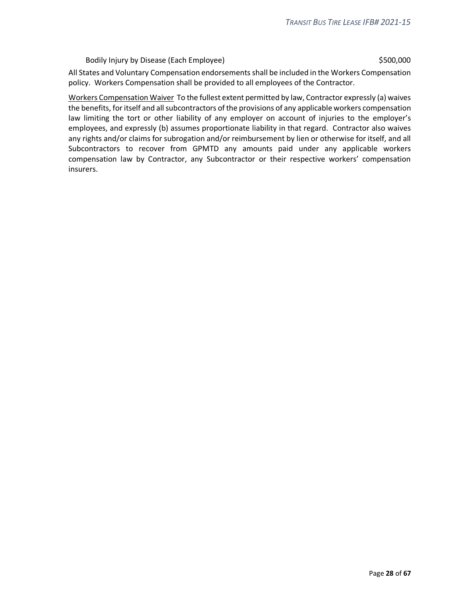#### Bodily Injury by Disease (Each Employee) 6500,000 \$500,000

All States and Voluntary Compensation endorsements shall be included in the Workers Compensation policy. Workers Compensation shall be provided to all employees of the Contractor.

Workers Compensation Waiver To the fullest extent permitted by law, Contractor expressly (a) waives the benefits, for itself and all subcontractors of the provisions of any applicable workers compensation law limiting the tort or other liability of any employer on account of injuries to the employer's employees, and expressly (b) assumes proportionate liability in that regard. Contractor also waives any rights and/or claims for subrogation and/or reimbursement by lien or otherwise for itself, and all Subcontractors to recover from GPMTD any amounts paid under any applicable workers compensation law by Contractor, any Subcontractor or their respective workers' compensation insurers.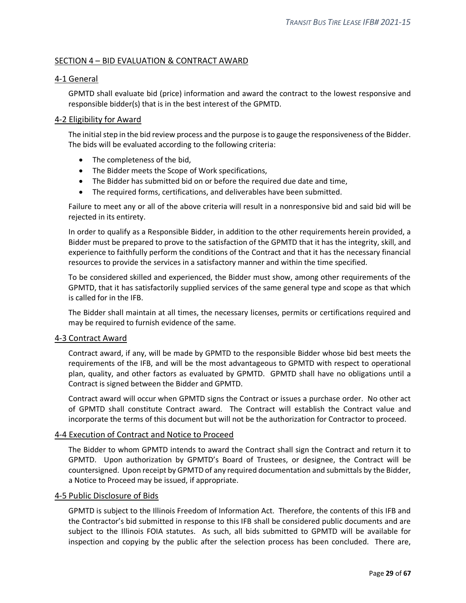## <span id="page-28-0"></span>SECTION 4 – BID EVALUATION & CONTRACT AWARD

#### <span id="page-28-1"></span>4-1 General

GPMTD shall evaluate bid (price) information and award the contract to the lowest responsive and responsible bidder(s) that is in the best interest of the GPMTD.

#### <span id="page-28-2"></span>4-2 Eligibility for Award

The initial step in the bid review process and the purpose is to gauge the responsiveness of the Bidder. The bids will be evaluated according to the following criteria:

- The completeness of the bid,
- The Bidder meets the Scope of Work specifications,
- The Bidder has submitted bid on or before the required due date and time,
- The required forms, certifications, and deliverables have been submitted.

Failure to meet any or all of the above criteria will result in a nonresponsive bid and said bid will be rejected in its entirety.

In order to qualify as a Responsible Bidder, in addition to the other requirements herein provided, a Bidder must be prepared to prove to the satisfaction of the GPMTD that it has the integrity, skill, and experience to faithfully perform the conditions of the Contract and that it has the necessary financial resources to provide the services in a satisfactory manner and within the time specified.

To be considered skilled and experienced, the Bidder must show, among other requirements of the GPMTD, that it has satisfactorily supplied services of the same general type and scope as that which is called for in the IFB.

The Bidder shall maintain at all times, the necessary licenses, permits or certifications required and may be required to furnish evidence of the same.

#### <span id="page-28-3"></span>4-3 Contract Award

Contract award, if any, will be made by GPMTD to the responsible Bidder whose bid best meets the requirements of the IFB, and will be the most advantageous to GPMTD with respect to operational plan, quality, and other factors as evaluated by GPMTD. GPMTD shall have no obligations until a Contract is signed between the Bidder and GPMTD.

Contract award will occur when GPMTD signs the Contract or issues a purchase order. No other act of GPMTD shall constitute Contract award. The Contract will establish the Contract value and incorporate the terms of this document but will not be the authorization for Contractor to proceed.

#### <span id="page-28-4"></span>4-4 Execution of Contract and Notice to Proceed

The Bidder to whom GPMTD intends to award the Contract shall sign the Contract and return it to GPMTD. Upon authorization by GPMTD's Board of Trustees, or designee, the Contract will be countersigned. Upon receipt by GPMTD of any required documentation and submittals by the Bidder, a Notice to Proceed may be issued, if appropriate.

#### <span id="page-28-5"></span>4-5 Public Disclosure of Bids

GPMTD is subject to the Illinois Freedom of Information Act. Therefore, the contents of this IFB and the Contractor's bid submitted in response to this IFB shall be considered public documents and are subject to the Illinois FOIA statutes. As such, all bids submitted to GPMTD will be available for inspection and copying by the public after the selection process has been concluded. There are,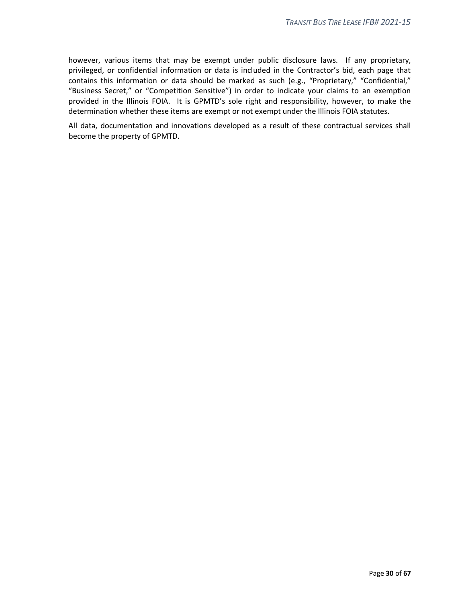however, various items that may be exempt under public disclosure laws. If any proprietary, privileged, or confidential information or data is included in the Contractor's bid, each page that contains this information or data should be marked as such (e.g., "Proprietary," "Confidential," "Business Secret," or "Competition Sensitive") in order to indicate your claims to an exemption provided in the Illinois FOIA. It is GPMTD's sole right and responsibility, however, to make the determination whether these items are exempt or not exempt under the Illinois FOIA statutes.

All data, documentation and innovations developed as a result of these contractual services shall become the property of GPMTD.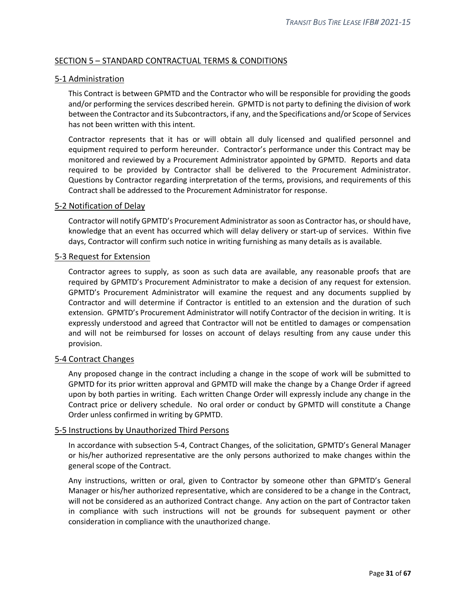## <span id="page-30-0"></span>SECTION 5 – STANDARD CONTRACTUAL TERMS & CONDITIONS

## <span id="page-30-1"></span>5-1 Administration

This Contract is between GPMTD and the Contractor who will be responsible for providing the goods and/or performing the services described herein. GPMTD is not party to defining the division of work between the Contractor and its Subcontractors, if any, and the Specifications and/or Scope of Services has not been written with this intent.

Contractor represents that it has or will obtain all duly licensed and qualified personnel and equipment required to perform hereunder. Contractor's performance under this Contract may be monitored and reviewed by a Procurement Administrator appointed by GPMTD. Reports and data required to be provided by Contractor shall be delivered to the Procurement Administrator. Questions by Contractor regarding interpretation of the terms, provisions, and requirements of this Contract shall be addressed to the Procurement Administrator for response.

#### <span id="page-30-2"></span>5-2 Notification of Delay

Contractor will notify GPMTD's Procurement Administrator as soon as Contractor has, or should have, knowledge that an event has occurred which will delay delivery or start-up of services. Within five days, Contractor will confirm such notice in writing furnishing as many details as is available.

#### <span id="page-30-3"></span>5-3 Request for Extension

Contractor agrees to supply, as soon as such data are available, any reasonable proofs that are required by GPMTD's Procurement Administrator to make a decision of any request for extension. GPMTD's Procurement Administrator will examine the request and any documents supplied by Contractor and will determine if Contractor is entitled to an extension and the duration of such extension. GPMTD's Procurement Administrator will notify Contractor of the decision in writing. It is expressly understood and agreed that Contractor will not be entitled to damages or compensation and will not be reimbursed for losses on account of delays resulting from any cause under this provision.

## <span id="page-30-4"></span>5-4 Contract Changes

Any proposed change in the contract including a change in the scope of work will be submitted to GPMTD for its prior written approval and GPMTD will make the change by a Change Order if agreed upon by both parties in writing. Each written Change Order will expressly include any change in the Contract price or delivery schedule. No oral order or conduct by GPMTD will constitute a Change Order unless confirmed in writing by GPMTD.

#### <span id="page-30-5"></span>5-5 Instructions by Unauthorized Third Persons

In accordance with subsection 5-4, Contract Changes, of the solicitation, GPMTD's General Manager or his/her authorized representative are the only persons authorized to make changes within the general scope of the Contract.

Any instructions, written or oral, given to Contractor by someone other than GPMTD's General Manager or his/her authorized representative, which are considered to be a change in the Contract, will not be considered as an authorized Contract change. Any action on the part of Contractor taken in compliance with such instructions will not be grounds for subsequent payment or other consideration in compliance with the unauthorized change.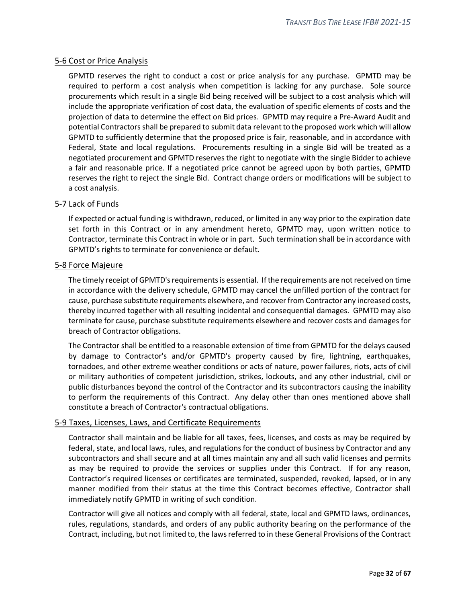## <span id="page-31-0"></span>5-6 Cost or Price Analysis

GPMTD reserves the right to conduct a cost or price analysis for any purchase. GPMTD may be required to perform a cost analysis when competition is lacking for any purchase. Sole source procurements which result in a single Bid being received will be subject to a cost analysis which will include the appropriate verification of cost data, the evaluation of specific elements of costs and the projection of data to determine the effect on Bid prices. GPMTD may require a Pre-Award Audit and potential Contractors shall be prepared to submit data relevant to the proposed work which will allow GPMTD to sufficiently determine that the proposed price is fair, reasonable, and in accordance with Federal, State and local regulations. Procurements resulting in a single Bid will be treated as a negotiated procurement and GPMTD reserves the right to negotiate with the single Bidder to achieve a fair and reasonable price. If a negotiated price cannot be agreed upon by both parties, GPMTD reserves the right to reject the single Bid. Contract change orders or modifications will be subject to a cost analysis.

## <span id="page-31-1"></span>5-7 Lack of Funds

If expected or actual funding is withdrawn, reduced, or limited in any way prior to the expiration date set forth in this Contract or in any amendment hereto, GPMTD may, upon written notice to Contractor, terminate this Contract in whole or in part. Such termination shall be in accordance with GPMTD's rights to terminate for convenience or default.

#### <span id="page-31-2"></span>5-8 Force Majeure

The timely receipt of GPMTD's requirements is essential. If the requirements are not received on time in accordance with the delivery schedule, GPMTD may cancel the unfilled portion of the contract for cause, purchase substitute requirements elsewhere, and recover from Contractor any increased costs, thereby incurred together with all resulting incidental and consequential damages. GPMTD may also terminate for cause, purchase substitute requirements elsewhere and recover costs and damages for breach of Contractor obligations.

The Contractor shall be entitled to a reasonable extension of time from GPMTD for the delays caused by damage to Contractor's and/or GPMTD's property caused by fire, lightning, earthquakes, tornadoes, and other extreme weather conditions or acts of nature, power failures, riots, acts of civil or military authorities of competent jurisdiction, strikes, lockouts, and any other industrial, civil or public disturbances beyond the control of the Contractor and its subcontractors causing the inability to perform the requirements of this Contract. Any delay other than ones mentioned above shall constitute a breach of Contractor's contractual obligations.

## <span id="page-31-3"></span>5-9 Taxes, Licenses, Laws, and Certificate Requirements

Contractor shall maintain and be liable for all taxes, fees, licenses, and costs as may be required by federal, state, and local laws, rules, and regulations for the conduct of business by Contractor and any subcontractors and shall secure and at all times maintain any and all such valid licenses and permits as may be required to provide the services or supplies under this Contract. If for any reason, Contractor's required licenses or certificates are terminated, suspended, revoked, lapsed, or in any manner modified from their status at the time this Contract becomes effective, Contractor shall immediately notify GPMTD in writing of such condition.

Contractor will give all notices and comply with all federal, state, local and GPMTD laws, ordinances, rules, regulations, standards, and orders of any public authority bearing on the performance of the Contract, including, but not limited to, the laws referred to in these General Provisions of the Contract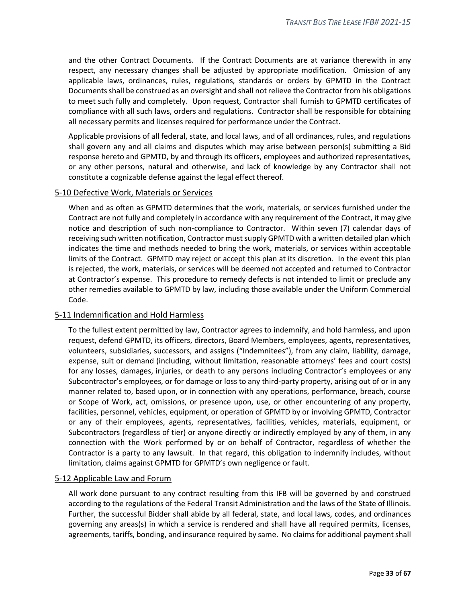and the other Contract Documents. If the Contract Documents are at variance therewith in any respect, any necessary changes shall be adjusted by appropriate modification. Omission of any applicable laws, ordinances, rules, regulations, standards or orders by GPMTD in the Contract Documents shall be construed as an oversight and shall not relieve the Contractor from his obligations to meet such fully and completely. Upon request, Contractor shall furnish to GPMTD certificates of compliance with all such laws, orders and regulations. Contractor shall be responsible for obtaining all necessary permits and licenses required for performance under the Contract.

Applicable provisions of all federal, state, and local laws, and of all ordinances, rules, and regulations shall govern any and all claims and disputes which may arise between person(s) submitting a Bid response hereto and GPMTD, by and through its officers, employees and authorized representatives, or any other persons, natural and otherwise, and lack of knowledge by any Contractor shall not constitute a cognizable defense against the legal effect thereof.

#### <span id="page-32-0"></span>5-10 Defective Work, Materials or Services

When and as often as GPMTD determines that the work, materials, or services furnished under the Contract are not fully and completely in accordance with any requirement of the Contract, it may give notice and description of such non-compliance to Contractor. Within seven (7) calendar days of receiving such written notification, Contractor must supply GPMTD with a written detailed plan which indicates the time and methods needed to bring the work, materials, or services within acceptable limits of the Contract. GPMTD may reject or accept this plan at its discretion. In the event this plan is rejected, the work, materials, or services will be deemed not accepted and returned to Contractor at Contractor's expense. This procedure to remedy defects is not intended to limit or preclude any other remedies available to GPMTD by law, including those available under the Uniform Commercial Code.

#### <span id="page-32-1"></span>5-11 Indemnification and Hold Harmless

To the fullest extent permitted by law, Contractor agrees to indemnify, and hold harmless, and upon request, defend GPMTD, its officers, directors, Board Members, employees, agents, representatives, volunteers, subsidiaries, successors, and assigns ("Indemnitees"), from any claim, liability, damage, expense, suit or demand (including, without limitation, reasonable attorneys' fees and court costs) for any losses, damages, injuries, or death to any persons including Contractor's employees or any Subcontractor's employees, or for damage or loss to any third-party property, arising out of or in any manner related to, based upon, or in connection with any operations, performance, breach, course or Scope of Work, act, omissions, or presence upon, use, or other encountering of any property, facilities, personnel, vehicles, equipment, or operation of GPMTD by or involving GPMTD, Contractor or any of their employees, agents, representatives, facilities, vehicles, materials, equipment, or Subcontractors (regardless of tier) or anyone directly or indirectly employed by any of them, in any connection with the Work performed by or on behalf of Contractor, regardless of whether the Contractor is a party to any lawsuit. In that regard, this obligation to indemnify includes, without limitation, claims against GPMTD for GPMTD's own negligence or fault.

#### <span id="page-32-2"></span>5-12 Applicable Law and Forum

All work done pursuant to any contract resulting from this IFB will be governed by and construed according to the regulations of the Federal Transit Administration and the laws of the State of Illinois. Further, the successful Bidder shall abide by all federal, state, and local laws, codes, and ordinances governing any areas(s) in which a service is rendered and shall have all required permits, licenses, agreements, tariffs, bonding, and insurance required by same. No claims for additional payment shall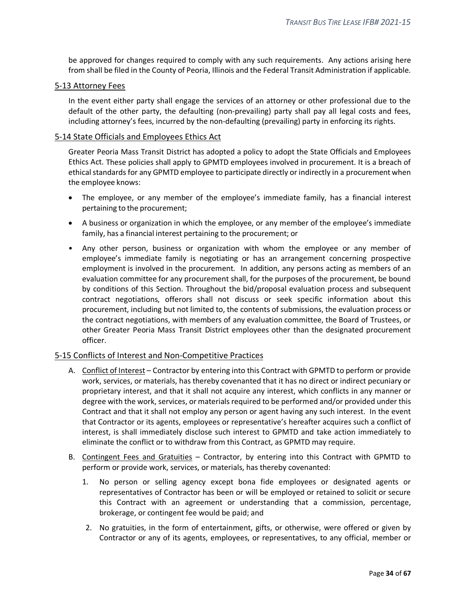be approved for changes required to comply with any such requirements. Any actions arising here from shall be filed in the County of Peoria, Illinois and the Federal Transit Administration if applicable.

#### <span id="page-33-0"></span>5-13 Attorney Fees

In the event either party shall engage the services of an attorney or other professional due to the default of the other party, the defaulting (non-prevailing) party shall pay all legal costs and fees, including attorney's fees, incurred by the non-defaulting (prevailing) party in enforcing its rights.

## <span id="page-33-1"></span>5-14 State Officials and Employees Ethics Act

Greater Peoria Mass Transit District has adopted a policy to adopt the State Officials and Employees Ethics Act. These policies shall apply to GPMTD employees involved in procurement. It is a breach of ethical standards for any GPMTD employee to participate directly or indirectly in a procurement when the employee knows:

- The employee, or any member of the employee's immediate family, has a financial interest pertaining to the procurement;
- A business or organization in which the employee, or any member of the employee's immediate family, has a financial interest pertaining to the procurement; or
- Any other person, business or organization with whom the employee or any member of employee's immediate family is negotiating or has an arrangement concerning prospective employment is involved in the procurement. In addition, any persons acting as members of an evaluation committee for any procurement shall, for the purposes of the procurement, be bound by conditions of this Section. Throughout the bid/proposal evaluation process and subsequent contract negotiations, offerors shall not discuss or seek specific information about this procurement, including but not limited to, the contents of submissions, the evaluation process or the contract negotiations, with members of any evaluation committee, the Board of Trustees, or other Greater Peoria Mass Transit District employees other than the designated procurement officer.

#### <span id="page-33-2"></span>5-15 Conflicts of Interest and Non-Competitive Practices

- A. Conflict of Interest Contractor by entering into this Contract with GPMTD to perform or provide work, services, or materials, has thereby covenanted that it has no direct or indirect pecuniary or proprietary interest, and that it shall not acquire any interest, which conflicts in any manner or degree with the work, services, or materials required to be performed and/or provided under this Contract and that it shall not employ any person or agent having any such interest. In the event that Contractor or its agents, employees or representative's hereafter acquires such a conflict of interest, is shall immediately disclose such interest to GPMTD and take action immediately to eliminate the conflict or to withdraw from this Contract, as GPMTD may require.
- B. Contingent Fees and Gratuities Contractor, by entering into this Contract with GPMTD to perform or provide work, services, or materials, has thereby covenanted:
	- 1. No person or selling agency except bona fide employees or designated agents or representatives of Contractor has been or will be employed or retained to solicit or secure this Contract with an agreement or understanding that a commission, percentage, brokerage, or contingent fee would be paid; and
	- 2. No gratuities, in the form of entertainment, gifts, or otherwise, were offered or given by Contractor or any of its agents, employees, or representatives, to any official, member or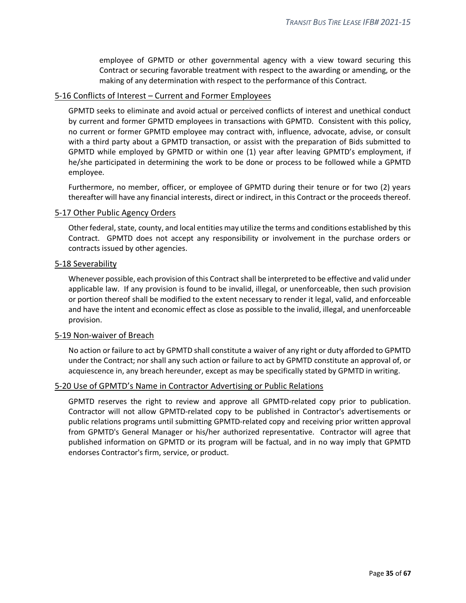employee of GPMTD or other governmental agency with a view toward securing this Contract or securing favorable treatment with respect to the awarding or amending, or the making of any determination with respect to the performance of this Contract.

## <span id="page-34-0"></span>5-16 Conflicts of Interest – Current and Former Employees

GPMTD seeks to eliminate and avoid actual or perceived conflicts of interest and unethical conduct by current and former GPMTD employees in transactions with GPMTD. Consistent with this policy, no current or former GPMTD employee may contract with, influence, advocate, advise, or consult with a third party about a GPMTD transaction, or assist with the preparation of Bids submitted to GPMTD while employed by GPMTD or within one (1) year after leaving GPMTD's employment, if he/she participated in determining the work to be done or process to be followed while a GPMTD employee.

Furthermore, no member, officer, or employee of GPMTD during their tenure or for two (2) years thereafter will have any financial interests, direct or indirect, in this Contract or the proceeds thereof.

#### <span id="page-34-1"></span>5-17 Other Public Agency Orders

Other federal, state, county, and local entities may utilize the terms and conditions established by this Contract. GPMTD does not accept any responsibility or involvement in the purchase orders or contracts issued by other agencies.

#### <span id="page-34-2"></span>5-18 Severability

Whenever possible, each provision of this Contract shall be interpreted to be effective and valid under applicable law. If any provision is found to be invalid, illegal, or unenforceable, then such provision or portion thereof shall be modified to the extent necessary to render it legal, valid, and enforceable and have the intent and economic effect as close as possible to the invalid, illegal, and unenforceable provision.

## <span id="page-34-3"></span>5-19 Non-waiver of Breach

No action or failure to act by GPMTD shall constitute a waiver of any right or duty afforded to GPMTD under the Contract; nor shall any such action or failure to act by GPMTD constitute an approval of, or acquiescence in, any breach hereunder, except as may be specifically stated by GPMTD in writing.

## <span id="page-34-4"></span>5-20 Use of GPMTD's Name in Contractor Advertising or Public Relations

GPMTD reserves the right to review and approve all GPMTD-related copy prior to publication. Contractor will not allow GPMTD-related copy to be published in Contractor's advertisements or public relations programs until submitting GPMTD-related copy and receiving prior written approval from GPMTD's General Manager or his/her authorized representative. Contractor will agree that published information on GPMTD or its program will be factual, and in no way imply that GPMTD endorses Contractor's firm, service, or product.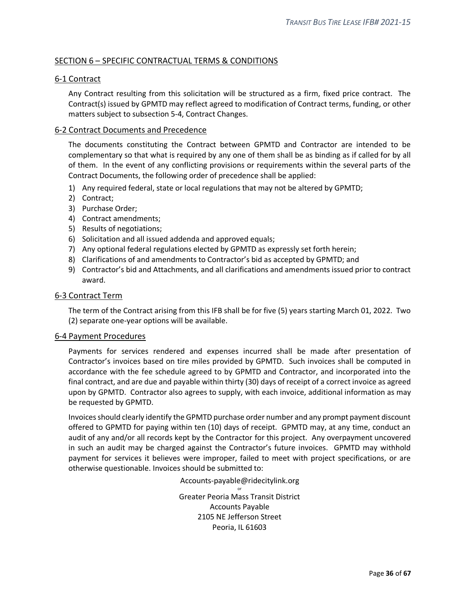## <span id="page-35-0"></span>SECTION 6 – SPECIFIC CONTRACTUAL TERMS & CONDITIONS

## <span id="page-35-1"></span>6-1 Contract

Any Contract resulting from this solicitation will be structured as a firm, fixed price contract. The Contract(s) issued by GPMTD may reflect agreed to modification of Contract terms, funding, or other matters subject to subsection 5-4, Contract Changes.

#### <span id="page-35-2"></span>6-2 Contract Documents and Precedence

The documents constituting the Contract between GPMTD and Contractor are intended to be complementary so that what is required by any one of them shall be as binding as if called for by all of them. In the event of any conflicting provisions or requirements within the several parts of the Contract Documents, the following order of precedence shall be applied:

- 1) Any required federal, state or local regulations that may not be altered by GPMTD;
- 2) Contract;
- 3) Purchase Order;
- 4) Contract amendments;
- 5) Results of negotiations;
- 6) Solicitation and all issued addenda and approved equals;
- 7) Any optional federal regulations elected by GPMTD as expressly set forth herein;
- 8) Clarifications of and amendments to Contractor's bid as accepted by GPMTD; and
- 9) Contractor's bid and Attachments, and all clarifications and amendments issued prior to contract award.

#### <span id="page-35-3"></span>6-3 Contract Term

The term of the Contract arising from this IFB shall be for five (5) years starting March 01, 2022. Two (2) separate one-year options will be available.

#### <span id="page-35-4"></span>6-4 Payment Procedures

Payments for services rendered and expenses incurred shall be made after presentation of Contractor's invoices based on tire miles provided by GPMTD. Such invoices shall be computed in accordance with the fee schedule agreed to by GPMTD and Contractor, and incorporated into the final contract, and are due and payable within thirty (30) days of receipt of a correct invoice as agreed upon by GPMTD. Contractor also agrees to supply, with each invoice, additional information as may be requested by GPMTD.

Invoices should clearly identify the GPMTD purchase order number and any prompt payment discount offered to GPMTD for paying within ten (10) days of receipt. GPMTD may, at any time, conduct an audit of any and/or all records kept by the Contractor for this project. Any overpayment uncovered in such an audit may be charged against the Contractor's future invoices. GPMTD may withhold payment for services it believes were improper, failed to meet with project specifications, or are otherwise questionable. Invoices should be submitted to:

> Accounts-payable@ridecitylink.org or

Greater Peoria Mass Transit District Accounts Payable 2105 NE Jefferson Street Peoria, IL 61603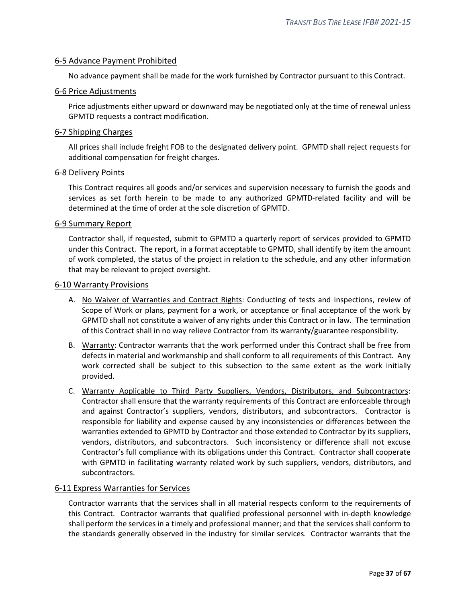## <span id="page-36-0"></span>6-5 Advance Payment Prohibited

No advance payment shall be made for the work furnished by Contractor pursuant to this Contract.

#### <span id="page-36-1"></span>6-6 Price Adjustments

Price adjustments either upward or downward may be negotiated only at the time of renewal unless GPMTD requests a contract modification.

#### <span id="page-36-2"></span>6-7 Shipping Charges

All prices shall include freight FOB to the designated delivery point. GPMTD shall reject requests for additional compensation for freight charges.

#### <span id="page-36-3"></span>6-8 Delivery Points

This Contract requires all goods and/or services and supervision necessary to furnish the goods and services as set forth herein to be made to any authorized GPMTD-related facility and will be determined at the time of order at the sole discretion of GPMTD.

#### <span id="page-36-4"></span>6-9 Summary Report

Contractor shall, if requested, submit to GPMTD a quarterly report of services provided to GPMTD under this Contract. The report, in a format acceptable to GPMTD, shall identify by item the amount of work completed, the status of the project in relation to the schedule, and any other information that may be relevant to project oversight.

#### <span id="page-36-5"></span>6-10 Warranty Provisions

- A. No Waiver of Warranties and Contract Rights: Conducting of tests and inspections, review of Scope of Work or plans, payment for a work, or acceptance or final acceptance of the work by GPMTD shall not constitute a waiver of any rights under this Contract or in law. The termination of this Contract shall in no way relieve Contractor from its warranty/guarantee responsibility.
- B. Warranty: Contractor warrants that the work performed under this Contract shall be free from defects in material and workmanship and shall conform to all requirements of this Contract. Any work corrected shall be subject to this subsection to the same extent as the work initially provided.
- C. Warranty Applicable to Third Party Suppliers, Vendors, Distributors, and Subcontractors: Contractor shall ensure that the warranty requirements of this Contract are enforceable through and against Contractor's suppliers, vendors, distributors, and subcontractors. Contractor is responsible for liability and expense caused by any inconsistencies or differences between the warranties extended to GPMTD by Contractor and those extended to Contractor by its suppliers, vendors, distributors, and subcontractors. Such inconsistency or difference shall not excuse Contractor's full compliance with its obligations under this Contract. Contractor shall cooperate with GPMTD in facilitating warranty related work by such suppliers, vendors, distributors, and subcontractors.

## <span id="page-36-6"></span>6-11 Express Warranties for Services

Contractor warrants that the services shall in all material respects conform to the requirements of this Contract. Contractor warrants that qualified professional personnel with in-depth knowledge shall perform the services in a timely and professional manner; and that the services shall conform to the standards generally observed in the industry for similar services. Contractor warrants that the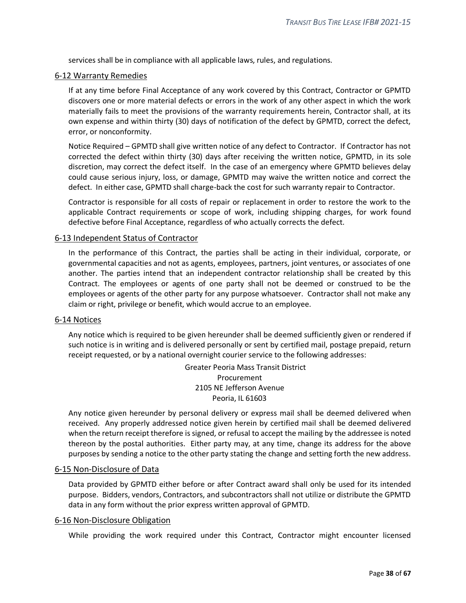services shall be in compliance with all applicable laws, rules, and regulations.

#### <span id="page-37-0"></span>6-12 Warranty Remedies

If at any time before Final Acceptance of any work covered by this Contract, Contractor or GPMTD discovers one or more material defects or errors in the work of any other aspect in which the work materially fails to meet the provisions of the warranty requirements herein, Contractor shall, at its own expense and within thirty (30) days of notification of the defect by GPMTD, correct the defect, error, or nonconformity.

Notice Required – GPMTD shall give written notice of any defect to Contractor. If Contractor has not corrected the defect within thirty (30) days after receiving the written notice, GPMTD, in its sole discretion, may correct the defect itself. In the case of an emergency where GPMTD believes delay could cause serious injury, loss, or damage, GPMTD may waive the written notice and correct the defect. In either case, GPMTD shall charge-back the cost for such warranty repair to Contractor.

Contractor is responsible for all costs of repair or replacement in order to restore the work to the applicable Contract requirements or scope of work, including shipping charges, for work found defective before Final Acceptance, regardless of who actually corrects the defect.

#### <span id="page-37-1"></span>6-13 Independent Status of Contractor

In the performance of this Contract, the parties shall be acting in their individual, corporate, or governmental capacities and not as agents, employees, partners, joint ventures, or associates of one another. The parties intend that an independent contractor relationship shall be created by this Contract. The employees or agents of one party shall not be deemed or construed to be the employees or agents of the other party for any purpose whatsoever. Contractor shall not make any claim or right, privilege or benefit, which would accrue to an employee.

#### <span id="page-37-2"></span>6-14 Notices

Any notice which is required to be given hereunder shall be deemed sufficiently given or rendered if such notice is in writing and is delivered personally or sent by certified mail, postage prepaid, return receipt requested, or by a national overnight courier service to the following addresses:

> Greater Peoria Mass Transit District Procurement 2105 NE Jefferson Avenue Peoria, IL 61603

Any notice given hereunder by personal delivery or express mail shall be deemed delivered when received. Any properly addressed notice given herein by certified mail shall be deemed delivered when the return receipt therefore is signed, or refusal to accept the mailing by the addressee is noted thereon by the postal authorities. Either party may, at any time, change its address for the above purposes by sending a notice to the other party stating the change and setting forth the new address.

#### <span id="page-37-3"></span>6-15 Non-Disclosure of Data

Data provided by GPMTD either before or after Contract award shall only be used for its intended purpose. Bidders, vendors, Contractors, and subcontractors shall not utilize or distribute the GPMTD data in any form without the prior express written approval of GPMTD.

#### <span id="page-37-4"></span>6-16 Non-Disclosure Obligation

While providing the work required under this Contract, Contractor might encounter licensed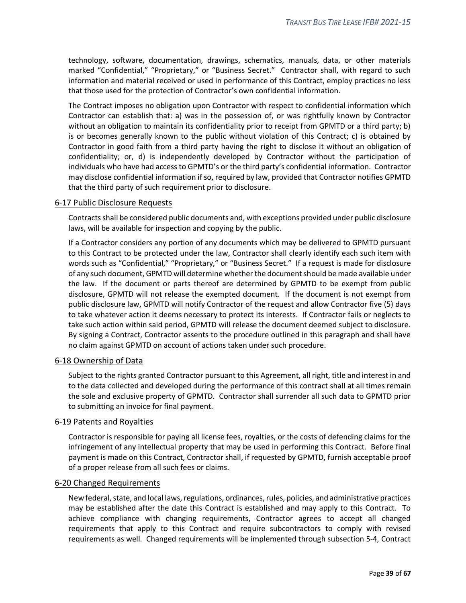technology, software, documentation, drawings, schematics, manuals, data, or other materials marked "Confidential," "Proprietary," or "Business Secret." Contractor shall, with regard to such information and material received or used in performance of this Contract, employ practices no less that those used for the protection of Contractor's own confidential information.

The Contract imposes no obligation upon Contractor with respect to confidential information which Contractor can establish that: a) was in the possession of, or was rightfully known by Contractor without an obligation to maintain its confidentiality prior to receipt from GPMTD or a third party; b) is or becomes generally known to the public without violation of this Contract; c) is obtained by Contractor in good faith from a third party having the right to disclose it without an obligation of confidentiality; or, d) is independently developed by Contractor without the participation of individuals who have had access to GPMTD's or the third party's confidential information. Contractor may disclose confidential information if so, required by law, provided that Contractor notifies GPMTD that the third party of such requirement prior to disclosure.

#### <span id="page-38-0"></span>6-17 Public Disclosure Requests

Contracts shall be considered public documents and, with exceptions provided under public disclosure laws, will be available for inspection and copying by the public.

If a Contractor considers any portion of any documents which may be delivered to GPMTD pursuant to this Contract to be protected under the law, Contractor shall clearly identify each such item with words such as "Confidential," "Proprietary," or "Business Secret." If a request is made for disclosure of any such document, GPMTD will determine whether the document should be made available under the law. If the document or parts thereof are determined by GPMTD to be exempt from public disclosure, GPMTD will not release the exempted document. If the document is not exempt from public disclosure law, GPMTD will notify Contractor of the request and allow Contractor five (5) days to take whatever action it deems necessary to protect its interests. If Contractor fails or neglects to take such action within said period, GPMTD will release the document deemed subject to disclosure. By signing a Contract, Contractor assents to the procedure outlined in this paragraph and shall have no claim against GPMTD on account of actions taken under such procedure.

## <span id="page-38-1"></span>6-18 Ownership of Data

Subject to the rights granted Contractor pursuant to this Agreement, all right, title and interest in and to the data collected and developed during the performance of this contract shall at all times remain the sole and exclusive property of GPMTD. Contractor shall surrender all such data to GPMTD prior to submitting an invoice for final payment.

#### <span id="page-38-2"></span>6-19 Patents and Royalties

Contractor is responsible for paying all license fees, royalties, or the costs of defending claims for the infringement of any intellectual property that may be used in performing this Contract. Before final payment is made on this Contract, Contractor shall, if requested by GPMTD, furnish acceptable proof of a proper release from all such fees or claims.

#### <span id="page-38-3"></span>6-20 Changed Requirements

New federal, state, and local laws, regulations, ordinances, rules, policies, and administrative practices may be established after the date this Contract is established and may apply to this Contract. To achieve compliance with changing requirements, Contractor agrees to accept all changed requirements that apply to this Contract and require subcontractors to comply with revised requirements as well. Changed requirements will be implemented through subsection 5-4, Contract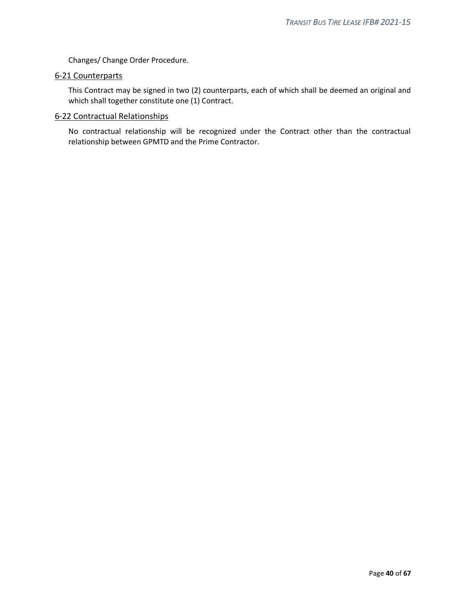Changes/ Change Order Procedure.

## <span id="page-39-0"></span>6-21 Counterparts

This Contract may be signed in two (2) counterparts, each of which shall be deemed an original and which shall together constitute one (1) Contract.

#### <span id="page-39-1"></span>6-22 Contractual Relationships

No contractual relationship will be recognized under the Contract other than the contractual relationship between GPMTD and the Prime Contractor.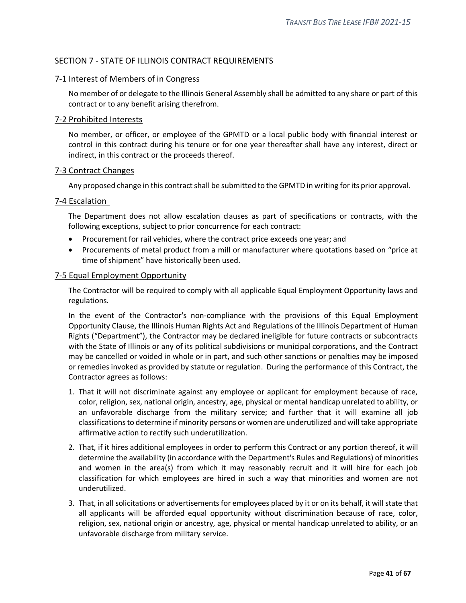## <span id="page-40-0"></span>SECTION 7 - STATE OF ILLINOIS CONTRACT REQUIREMENTS

## <span id="page-40-1"></span>7-1 Interest of Members of in Congress

No member of or delegate to the Illinois General Assembly shall be admitted to any share or part of this contract or to any benefit arising therefrom.

#### <span id="page-40-2"></span>7-2 Prohibited Interests

No member, or officer, or employee of the GPMTD or a local public body with financial interest or control in this contract during his tenure or for one year thereafter shall have any interest, direct or indirect, in this contract or the proceeds thereof.

#### <span id="page-40-3"></span>7-3 Contract Changes

Any proposed change in this contract shall be submitted to the GPMTD in writing for its prior approval.

#### <span id="page-40-4"></span>7-4 Escalation

The Department does not allow escalation clauses as part of specifications or contracts, with the following exceptions, subject to prior concurrence for each contract:

- Procurement for rail vehicles, where the contract price exceeds one year; and
- Procurements of metal product from a mill or manufacturer where quotations based on "price at time of shipment" have historically been used.

#### <span id="page-40-5"></span>7-5 Equal Employment Opportunity

The Contractor will be required to comply with all applicable Equal Employment Opportunity laws and regulations.

In the event of the Contractor's non-compliance with the provisions of this Equal Employment Opportunity Clause, the Illinois Human Rights Act and Regulations of the Illinois Department of Human Rights ("Department"), the Contractor may be declared ineligible for future contracts or subcontracts with the State of Illinois or any of its political subdivisions or municipal corporations, and the Contract may be cancelled or voided in whole or in part, and such other sanctions or penalties may be imposed or remedies invoked as provided by statute or regulation. During the performance of this Contract, the Contractor agrees as follows:

- 1. That it will not discriminate against any employee or applicant for employment because of race, color, religion, sex, national origin, ancestry, age, physical or mental handicap unrelated to ability, or an unfavorable discharge from the military service; and further that it will examine all job classifications to determine if minority persons or women are underutilized and will take appropriate affirmative action to rectify such underutilization.
- 2. That, if it hires additional employees in order to perform this Contract or any portion thereof, it will determine the availability (in accordance with the Department's Rules and Regulations) of minorities and women in the area(s) from which it may reasonably recruit and it will hire for each job classification for which employees are hired in such a way that minorities and women are not underutilized.
- 3. That, in all solicitations or advertisements for employees placed by it or on its behalf, it will state that all applicants will be afforded equal opportunity without discrimination because of race, color, religion, sex, national origin or ancestry, age, physical or mental handicap unrelated to ability, or an unfavorable discharge from military service.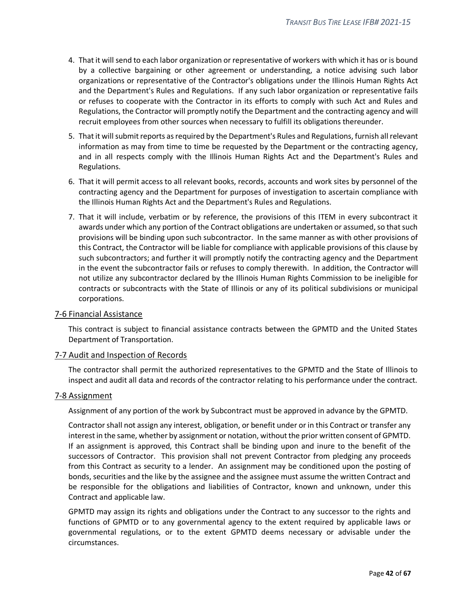- 4. That it will send to each labor organization or representative of workers with which it has or is bound by a collective bargaining or other agreement or understanding, a notice advising such labor organizations or representative of the Contractor's obligations under the Illinois Human Rights Act and the Department's Rules and Regulations. If any such labor organization or representative fails or refuses to cooperate with the Contractor in its efforts to comply with such Act and Rules and Regulations, the Contractor will promptly notify the Department and the contracting agency and will recruit employees from other sources when necessary to fulfill its obligations thereunder.
- 5. That it will submit reports as required by the Department's Rules and Regulations, furnish all relevant information as may from time to time be requested by the Department or the contracting agency, and in all respects comply with the Illinois Human Rights Act and the Department's Rules and Regulations.
- 6. That it will permit access to all relevant books, records, accounts and work sites by personnel of the contracting agency and the Department for purposes of investigation to ascertain compliance with the Illinois Human Rights Act and the Department's Rules and Regulations.
- 7. That it will include, verbatim or by reference, the provisions of this ITEM in every subcontract it awards under which any portion of the Contract obligations are undertaken or assumed, so that such provisions will be binding upon such subcontractor. In the same manner as with other provisions of this Contract, the Contractor will be liable for compliance with applicable provisions of this clause by such subcontractors; and further it will promptly notify the contracting agency and the Department in the event the subcontractor fails or refuses to comply therewith. In addition, the Contractor will not utilize any subcontractor declared by the Illinois Human Rights Commission to be ineligible for contracts or subcontracts with the State of Illinois or any of its political subdivisions or municipal corporations.

#### <span id="page-41-0"></span>7-6 Financial Assistance

This contract is subject to financial assistance contracts between the GPMTD and the United States Department of Transportation.

#### <span id="page-41-1"></span>7-7 Audit and Inspection of Records

The contractor shall permit the authorized representatives to the GPMTD and the State of Illinois to inspect and audit all data and records of the contractor relating to his performance under the contract.

#### <span id="page-41-2"></span>7-8 Assignment

Assignment of any portion of the work by Subcontract must be approved in advance by the GPMTD.

Contractor shall not assign any interest, obligation, or benefit under or in this Contract or transfer any interest in the same, whether by assignment or notation, without the prior written consent of GPMTD. If an assignment is approved, this Contract shall be binding upon and inure to the benefit of the successors of Contractor. This provision shall not prevent Contractor from pledging any proceeds from this Contract as security to a lender. An assignment may be conditioned upon the posting of bonds, securities and the like by the assignee and the assignee must assume the written Contract and be responsible for the obligations and liabilities of Contractor, known and unknown, under this Contract and applicable law.

GPMTD may assign its rights and obligations under the Contract to any successor to the rights and functions of GPMTD or to any governmental agency to the extent required by applicable laws or governmental regulations, or to the extent GPMTD deems necessary or advisable under the circumstances.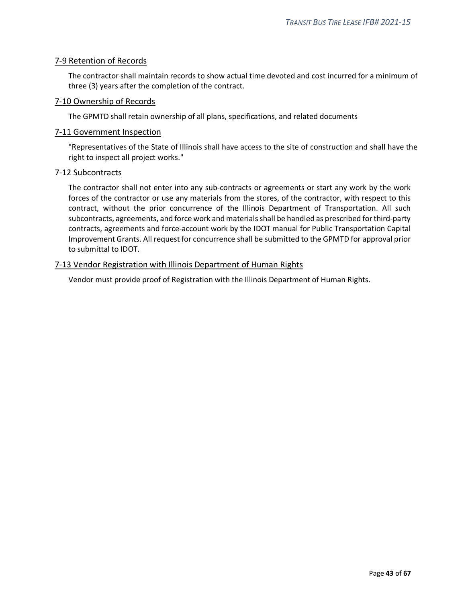## <span id="page-42-0"></span>7-9 Retention of Records

The contractor shall maintain records to show actual time devoted and cost incurred for a minimum of three (3) years after the completion of the contract.

#### <span id="page-42-1"></span>7-10 Ownership of Records

The GPMTD shall retain ownership of all plans, specifications, and related documents

#### <span id="page-42-2"></span>7-11 Government Inspection

"Representatives of the State of Illinois shall have access to the site of construction and shall have the right to inspect all project works."

#### <span id="page-42-3"></span>7-12 Subcontracts

The contractor shall not enter into any sub-contracts or agreements or start any work by the work forces of the contractor or use any materials from the stores, of the contractor, with respect to this contract, without the prior concurrence of the Illinois Department of Transportation. All such subcontracts, agreements, and force work and materials shall be handled as prescribed for third-party contracts, agreements and force-account work by the IDOT manual for Public Transportation Capital Improvement Grants. All request for concurrence shall be submitted to the GPMTD for approval prior to submittal to IDOT.

## <span id="page-42-4"></span>7-13 Vendor Registration with Illinois Department of Human Rights

Vendor must provide proof of Registration with the Illinois Department of Human Rights.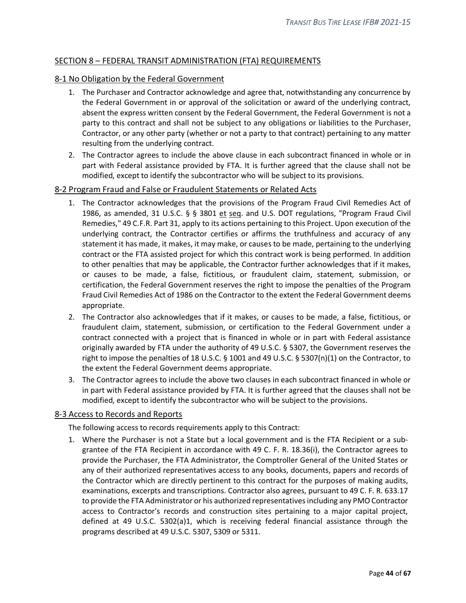## <span id="page-43-0"></span>SECTION 8 – FEDERAL TRANSIT ADMINISTRATION (FTA) REQUIREMENTS

## <span id="page-43-1"></span>8-1 No Obligation by the Federal Government

- 1. The Purchaser and Contractor acknowledge and agree that, notwithstanding any concurrence by the Federal Government in or approval of the solicitation or award of the underlying contract, absent the express written consent by the Federal Government, the Federal Government is not a party to this contract and shall not be subject to any obligations or liabilities to the Purchaser, Contractor, or any other party (whether or not a party to that contract) pertaining to any matter resulting from the underlying contract.
- 2. The Contractor agrees to include the above clause in each subcontract financed in whole or in part with Federal assistance provided by FTA. It is further agreed that the clause shall not be modified, except to identify the subcontractor who will be subject to its provisions.

#### <span id="page-43-2"></span>8-2 Program Fraud and False or Fraudulent Statements or Related Acts

- 1. The Contractor acknowledges that the provisions of the Program Fraud Civil Remedies Act of 1986, as amended, 31 U.S.C. § § 3801 et seq. and U.S. DOT regulations, "Program Fraud Civil Remedies," 49 C.F.R. Part 31, apply to its actions pertaining to this Project. Upon execution of the underlying contract, the Contractor certifies or affirms the truthfulness and accuracy of any statement it has made, it makes, it may make, or causes to be made, pertaining to the underlying contract or the FTA assisted project for which this contract work is being performed. In addition to other penalties that may be applicable, the Contractor further acknowledges that if it makes, or causes to be made, a false, fictitious, or fraudulent claim, statement, submission, or certification, the Federal Government reserves the right to impose the penalties of the Program Fraud Civil Remedies Act of 1986 on the Contractor to the extent the Federal Government deems appropriate.
- 2. The Contractor also acknowledges that if it makes, or causes to be made, a false, fictitious, or fraudulent claim, statement, submission, or certification to the Federal Government under a contract connected with a project that is financed in whole or in part with Federal assistance originally awarded by FTA under the authority of 49 U.S.C. § 5307, the Government reserves the right to impose the penalties of 18 U.S.C. § 1001 and 49 U.S.C. § 5307(n)(1) on the Contractor, to the extent the Federal Government deems appropriate.
- 3. The Contractor agrees to include the above two clauses in each subcontract financed in whole or in part with Federal assistance provided by FTA. It is further agreed that the clauses shall not be modified, except to identify the subcontractor who will be subject to the provisions.

#### <span id="page-43-3"></span>8-3 Access to Records and Reports

The following access to records requirements apply to this Contract:

1. Where the Purchaser is not a State but a local government and is the FTA Recipient or a subgrantee of the FTA Recipient in accordance with 49 C. F. R. 18.36(i), the Contractor agrees to provide the Purchaser, the FTA Administrator, the Comptroller General of the United States or any of their authorized representatives access to any books, documents, papers and records of the Contractor which are directly pertinent to this contract for the purposes of making audits, examinations, excerpts and transcriptions. Contractor also agrees, pursuant to 49 C. F. R. 633.17 to provide the FTA Administrator or his authorized representatives including any PMO Contractor access to Contractor's records and construction sites pertaining to a major capital project, defined at 49 U.S.C. 5302(a)1, which is receiving federal financial assistance through the programs described at 49 U.S.C. 5307, 5309 or 5311.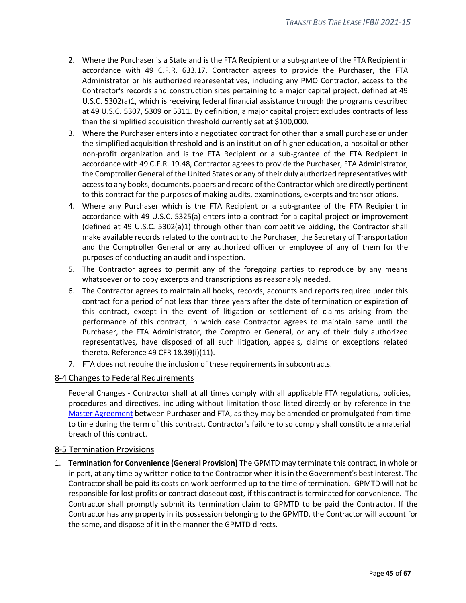- 2. Where the Purchaser is a State and is the FTA Recipient or a sub-grantee of the FTA Recipient in accordance with 49 C.F.R. 633.17, Contractor agrees to provide the Purchaser, the FTA Administrator or his authorized representatives, including any PMO Contractor, access to the Contractor's records and construction sites pertaining to a major capital project, defined at 49 U.S.C. 5302(a)1, which is receiving federal financial assistance through the programs described at 49 U.S.C. 5307, 5309 or 5311. By definition, a major capital project excludes contracts of less than the simplified acquisition threshold currently set at \$100,000.
- 3. Where the Purchaser enters into a negotiated contract for other than a small purchase or under the simplified acquisition threshold and is an institution of higher education, a hospital or other non-profit organization and is the FTA Recipient or a sub-grantee of the FTA Recipient in accordance with 49 C.F.R. 19.48, Contractor agrees to provide the Purchaser, FTA Administrator, the Comptroller General of the United States or any of their duly authorized representatives with access to any books, documents, papers and record of the Contractor which are directly pertinent to this contract for the purposes of making audits, examinations, excerpts and transcriptions.
- 4. Where any Purchaser which is the FTA Recipient or a sub-grantee of the FTA Recipient in accordance with 49 U.S.C. 5325(a) enters into a contract for a capital project or improvement (defined at 49 U.S.C. 5302(a)1) through other than competitive bidding, the Contractor shall make available records related to the contract to the Purchaser, the Secretary of Transportation and the Comptroller General or any authorized officer or employee of any of them for the purposes of conducting an audit and inspection.
- 5. The Contractor agrees to permit any of the foregoing parties to reproduce by any means whatsoever or to copy excerpts and transcriptions as reasonably needed.
- 6. The Contractor agrees to maintain all books, records, accounts and reports required under this contract for a period of not less than three years after the date of termination or expiration of this contract, except in the event of litigation or settlement of claims arising from the performance of this contract, in which case Contractor agrees to maintain same until the Purchaser, the FTA Administrator, the Comptroller General, or any of their duly authorized representatives, have disposed of all such litigation, appeals, claims or exceptions related thereto. Reference 49 CFR 18.39(i)(11).
- 7. FTA does not require the inclusion of these requirements in subcontracts.

#### <span id="page-44-0"></span>8-4 Changes to Federal Requirements

Federal Changes - Contractor shall at all times comply with all applicable FTA regulations, policies, procedures and directives, including without limitation those listed directly or by reference in the Master Agreement between Purchaser and FTA, as they may be amended or promulgated from time to time during the term of this contract. Contractor's failure to so comply shall constitute a material breach of this contract.

#### <span id="page-44-1"></span>8-5 Termination Provisions

1. **Termination for Convenience (General Provision)** The GPMTD may terminate this contract, in whole or in part, at any time by written notice to the Contractor when it is in the Government's best interest. The Contractor shall be paid its costs on work performed up to the time of termination. GPMTD will not be responsible for lost profits or contract closeout cost, if this contract is terminated for convenience. The Contractor shall promptly submit its termination claim to GPMTD to be paid the Contractor. If the Contractor has any property in its possession belonging to the GPMTD, the Contractor will account for the same, and dispose of it in the manner the GPMTD directs.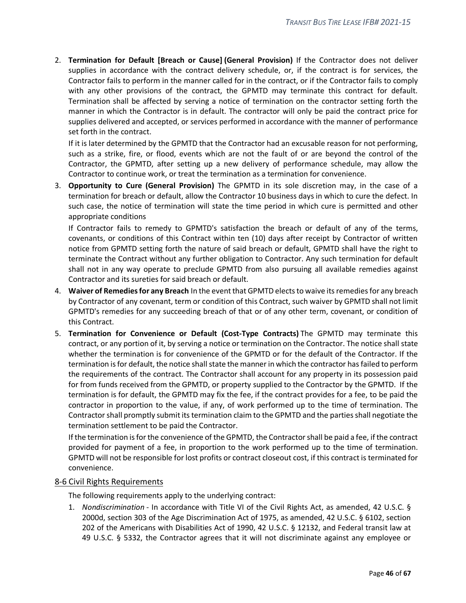2. **Termination for Default [Breach or Cause] (General Provision)** If the Contractor does not deliver supplies in accordance with the contract delivery schedule, or, if the contract is for services, the Contractor fails to perform in the manner called for in the contract, or if the Contractor fails to comply with any other provisions of the contract, the GPMTD may terminate this contract for default. Termination shall be affected by serving a notice of termination on the contractor setting forth the manner in which the Contractor is in default. The contractor will only be paid the contract price for supplies delivered and accepted, or services performed in accordance with the manner of performance set forth in the contract.

If it is later determined by the GPMTD that the Contractor had an excusable reason for not performing, such as a strike, fire, or flood, events which are not the fault of or are beyond the control of the Contractor, the GPMTD, after setting up a new delivery of performance schedule, may allow the Contractor to continue work, or treat the termination as a termination for convenience.

3. **Opportunity to Cure (General Provision)** The GPMTD in its sole discretion may, in the case of a termination for breach or default, allow the Contractor 10 business days in which to cure the defect. In such case, the notice of termination will state the time period in which cure is permitted and other appropriate conditions

If Contractor fails to remedy to GPMTD's satisfaction the breach or default of any of the terms, covenants, or conditions of this Contract within ten (10) days after receipt by Contractor of written notice from GPMTD setting forth the nature of said breach or default, GPMTD shall have the right to terminate the Contract without any further obligation to Contractor. Any such termination for default shall not in any way operate to preclude GPMTD from also pursuing all available remedies against Contractor and its sureties for said breach or default.

- 4. **Waiver of Remediesfor any Breach** In the event that GPMTD elects to waive its remedies for any breach by Contractor of any covenant, term or condition of this Contract, such waiver by GPMTD shall not limit GPMTD's remedies for any succeeding breach of that or of any other term, covenant, or condition of this Contract.
- 5. **Termination for Convenience or Default (Cost-Type Contracts)** The GPMTD may terminate this contract, or any portion of it, by serving a notice or termination on the Contractor. The notice shall state whether the termination is for convenience of the GPMTD or for the default of the Contractor. If the termination is for default, the notice shall state the manner in which the contractor has failed to perform the requirements of the contract. The Contractor shall account for any property in its possession paid for from funds received from the GPMTD, or property supplied to the Contractor by the GPMTD. If the termination is for default, the GPMTD may fix the fee, if the contract provides for a fee, to be paid the contractor in proportion to the value, if any, of work performed up to the time of termination. The Contractor shall promptly submit its termination claim to the GPMTD and the parties shall negotiate the termination settlement to be paid the Contractor.

If the termination is for the convenience of the GPMTD, the Contractor shall be paid a fee, if the contract provided for payment of a fee, in proportion to the work performed up to the time of termination. GPMTD will not be responsible for lost profits or contract closeout cost, if this contract is terminated for convenience.

## <span id="page-45-0"></span>8-6 Civil Rights Requirements

The following requirements apply to the underlying contract:

1. *Nondiscrimination* - In accordance with Title VI of the Civil Rights Act, as amended, 42 U.S.C. § 2000d, section 303 of the Age Discrimination Act of 1975, as amended, 42 U.S.C. § 6102, section 202 of the Americans with Disabilities Act of 1990, 42 U.S.C. § 12132, and Federal transit law at 49 U.S.C. § 5332, the Contractor agrees that it will not discriminate against any employee or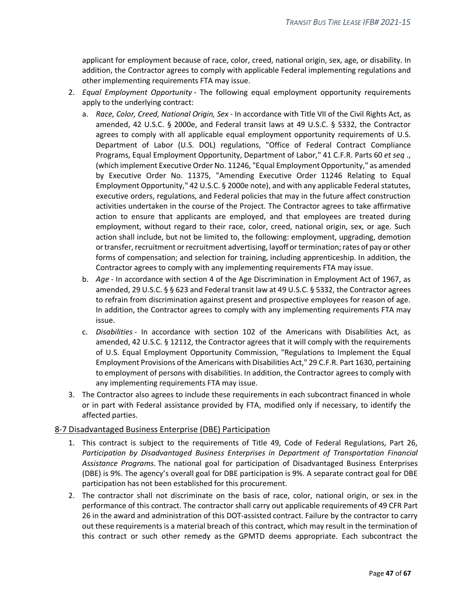applicant for employment because of race, color, creed, national origin, sex, age, or disability. In addition, the Contractor agrees to comply with applicable Federal implementing regulations and other implementing requirements FTA may issue.

- 2. *Equal Employment Opportunity* The following equal employment opportunity requirements apply to the underlying contract:
	- a. *Race, Color, Creed, National Origin, Sex* In accordance with Title VII of the Civil Rights Act, as amended, 42 U.S.C. § 2000e, and Federal transit laws at 49 U.S.C. § 5332, the Contractor agrees to comply with all applicable equal employment opportunity requirements of U.S. Department of Labor (U.S. DOL) regulations, "Office of Federal Contract Compliance Programs, Equal Employment Opportunity, Department of Labor," 41 C.F.R. Parts 60 *et seq* ., (which implement Executive Order No. 11246, "Equal Employment Opportunity," as amended by Executive Order No. 11375, "Amending Executive Order 11246 Relating to Equal Employment Opportunity," 42 U.S.C. § 2000e note), and with any applicable Federal statutes, executive orders, regulations, and Federal policies that may in the future affect construction activities undertaken in the course of the Project. The Contractor agrees to take affirmative action to ensure that applicants are employed, and that employees are treated during employment, without regard to their race, color, creed, national origin, sex, or age. Such action shall include, but not be limited to, the following: employment, upgrading, demotion or transfer, recruitment or recruitment advertising, layoff or termination; rates of pay or other forms of compensation; and selection for training, including apprenticeship. In addition, the Contractor agrees to comply with any implementing requirements FTA may issue.
	- b. *Age* In accordance with section 4 of the Age Discrimination in Employment Act of 1967, as amended, 29 U.S.C. § § 623 and Federal transit law at 49 U.S.C. § 5332, the Contractor agrees to refrain from discrimination against present and prospective employees for reason of age. In addition, the Contractor agrees to comply with any implementing requirements FTA may issue.
	- c. *Disabilities* In accordance with section 102 of the Americans with Disabilities Act, as amended, 42 U.S.C. § 12112, the Contractor agrees that it will comply with the requirements of U.S. Equal Employment Opportunity Commission, "Regulations to Implement the Equal Employment Provisions of the Americans with Disabilities Act," 29 C.F.R. Part 1630, pertaining to employment of persons with disabilities. In addition, the Contractor agrees to comply with any implementing requirements FTA may issue.
- 3. The Contractor also agrees to include these requirements in each subcontract financed in whole or in part with Federal assistance provided by FTA, modified only if necessary, to identify the affected parties.

## <span id="page-46-0"></span>8-7 Disadvantaged Business Enterprise (DBE) Participation

- 1. This contract is subject to the requirements of Title 49, Code of Federal Regulations, Part 26, *Participation by Disadvantaged Business Enterprises in Department of Transportation Financial Assistance Programs.* The national goal for participation of Disadvantaged Business Enterprises (DBE) is 9%. The agency's overall goal for DBE participation is 9%. A separate contract goal for DBE participation has not been established for this procurement.
- 2. The contractor shall not discriminate on the basis of race, color, national origin, or sex in the performance of this contract. The contractor shall carry out applicable requirements of 49 CFR Part 26 in the award and administration of this DOT-assisted contract. Failure by the contractor to carry out these requirements is a material breach of this contract, which may result in the termination of this contract or such other remedy as the GPMTD deems appropriate. Each subcontract the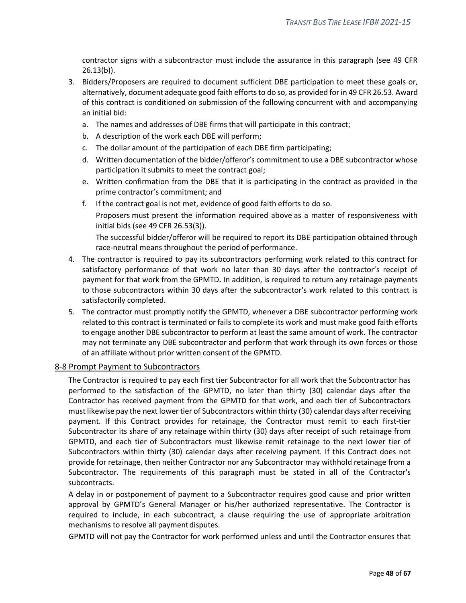contractor signs with a subcontractor must include the assurance in this paragraph (see 49 CFR 26.13(b)).

- 3. Bidders/Proposers are required to document sufficient DBE participation to meet these goals or, alternatively, document adequate good faith efforts to do so, as provided for in 49 CFR 26.53. Award of this contract is conditioned on submission of the following concurrent with and accompanying an initial bid:
	- a. The names and addresses of DBE firms that will participate in this contract;
	- b. A description of the work each DBE will perform;
	- c. The dollar amount of the participation of each DBE firm participating;
	- d. Written documentation of the bidder/offeror's commitment to use a DBE subcontractor whose participation it submits to meet the contract goal;
	- e. Written confirmation from the DBE that it is participating in the contract as provided in the prime contractor's commitment; and
	- f. If the contract goal is not met, evidence of good faith efforts to do so. Proposers must present the information required above as a matter of responsiveness with initial bids (see 49 CFR 26.53(3)).

The successful bidder/offeror will be required to report its DBE participation obtained through race-neutral means throughout the period of performance.

- 4. The contractor is required to pay its subcontractors performing work related to this contract for satisfactory performance of that work no later than 30 days after the contractor's receipt of payment for that work from the GPMTD**.** In addition, is required to return any retainage payments to those subcontractors within 30 days after the subcontractor's work related to this contract is satisfactorily completed.
- 5. The contractor must promptly notify the GPMTD, whenever a DBE subcontractor performing work related to this contract is terminated or fails to complete its work and must make good faith efforts to engage another DBE subcontractor to perform at least the same amount of work. The contractor may not terminate any DBE subcontractor and perform that work through its own forces or those of an affiliate without prior written consent of the GPMTD.

#### <span id="page-47-0"></span>8-8 Prompt Payment to Subcontractors

The Contractor is required to pay each first tier Subcontractor for all work that the Subcontractor has performed to the satisfaction of the GPMTD, no later than thirty (30) calendar days after the Contractor has received payment from the GPMTD for that work, and each tier of Subcontractors must likewise pay the next lower tier of Subcontractors within thirty (30) calendar days after receiving payment. If this Contract provides for retainage, the Contractor must remit to each first-tier Subcontractor its share of any retainage within thirty (30) days after receipt of such retainage from GPMTD, and each tier of Subcontractors must likewise remit retainage to the next lower tier of Subcontractors within thirty (30) calendar days after receiving payment. If this Contract does not provide for retainage, then neither Contractor nor any Subcontractor may withhold retainage from a Subcontractor. The requirements of this paragraph must be stated in all of the Contractor's subcontracts.

A delay in or postponement of payment to a Subcontractor requires good cause and prior written approval by GPMTD's General Manager or his/her authorized representative. The Contractor is required to include, in each subcontract, a clause requiring the use of appropriate arbitration mechanisms to resolve all payment disputes.

GPMTD will not pay the Contractor for work performed unless and until the Contractor ensures that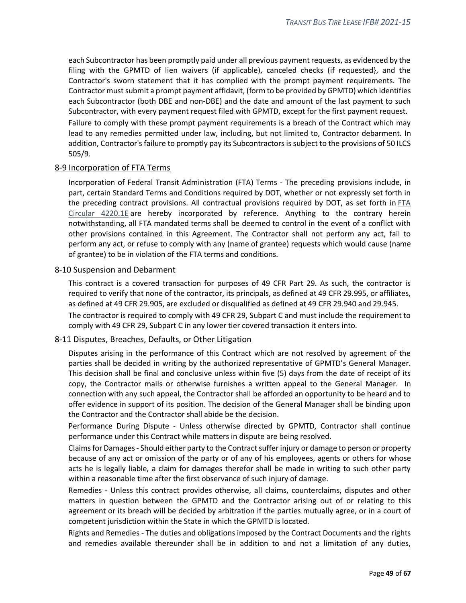each Subcontractor has been promptly paid under all previous payment requests, as evidenced by the filing with the GPMTD of lien waivers (if applicable), canceled checks (if requested}, and the Contractor's sworn statement that it has complied with the prompt payment requirements. The Contractor must submit a prompt payment affidavit, (form to be provided by GPMTD) which identifies each Subcontractor (both DBE and non-DBE) and the date and amount of the last payment to such Subcontractor, with every payment request filed with GPMTD, except for the first payment request. Failure to comply with these prompt payment requirements is a breach of the Contract which may lead to any remedies permitted under law, including, but not limited to, Contractor debarment. In addition, Contractor's failure to promptly pay its Subcontractors is subject to the provisions of 50 ILCS 505/9.

#### <span id="page-48-0"></span>8-9 Incorporation of FTA Terms

Incorporation of Federal Transit Administration (FTA) Terms - The preceding provisions include, in part, certain Standard Terms and Conditions required by DOT, whether or not expressly set forth in the preceding contract provisions. All contractual provisions required by DOT, as set forth in [FTA](http://www.fta.dot.gov/legislation_law/12349_4063.html) Circular [4220.1E](http://www.fta.dot.gov/legislation_law/12349_4063.html) are hereby incorporated by reference. Anything to the contrary herein notwithstanding, all FTA mandated terms shall be deemed to control in the event of a conflict with other provisions contained in this Agreement. The Contractor shall not perform any act, fail to perform any act, or refuse to comply with any (name of grantee) requests which would cause (name of grantee) to be in violation of the FTA terms and conditions.

#### <span id="page-48-1"></span>8-10 Suspension and Debarment

This contract is a covered transaction for purposes of 49 CFR Part 29. As such, the contractor is required to verify that none of the contractor, its principals, as defined at 49 CFR 29.995, or affiliates, as defined at 49 CFR 29.905, are excluded or disqualified as defined at 49 CFR 29.940 and 29.945. The contractor is required to comply with 49 CFR 29, Subpart C and must include the requirement to comply with 49 CFR 29, Subpart C in any lower tier covered transaction it enters into.

#### <span id="page-48-2"></span>8-11 Disputes, Breaches, Defaults, or Other Litigation

Disputes arising in the performance of this Contract which are not resolved by agreement of the parties shall be decided in writing by the authorized representative of GPMTD's General Manager. This decision shall be final and conclusive unless within five (5) days from the date of receipt of its copy, the Contractor mails or otherwise furnishes a written appeal to the General Manager. In connection with any such appeal, the Contractor shall be afforded an opportunity to be heard and to offer evidence in support of its position. The decision of the General Manager shall be binding upon the Contractor and the Contractor shall abide be the decision.

Performance During Dispute - Unless otherwise directed by GPMTD, Contractor shall continue performance under this Contract while matters in dispute are being resolved.

Claims for Damages - Should either party to the Contract suffer injury or damage to person or property because of any act or omission of the party or of any of his employees, agents or others for whose acts he is legally liable, a claim for damages therefor shall be made in writing to such other party within a reasonable time after the first observance of such injury of damage.

Remedies - Unless this contract provides otherwise, all claims, counterclaims, disputes and other matters in question between the GPMTD and the Contractor arising out of or relating to this agreement or its breach will be decided by arbitration if the parties mutually agree, or in a court of competent jurisdiction within the State in which the GPMTD is located.

Rights and Remedies - The duties and obligations imposed by the Contract Documents and the rights and remedies available thereunder shall be in addition to and not a limitation of any duties,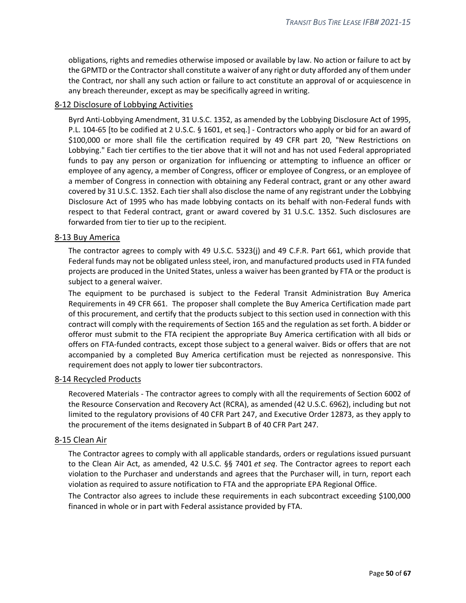obligations, rights and remedies otherwise imposed or available by law. No action or failure to act by the GPMTD or the Contractor shall constitute a waiver of any right or duty afforded any of them under the Contract, nor shall any such action or failure to act constitute an approval of or acquiescence in any breach thereunder, except as may be specifically agreed in writing.

## <span id="page-49-0"></span>8-12 Disclosure of Lobbying Activities

Byrd Anti-Lobbying Amendment, 31 U.S.C. 1352, as amended by the Lobbying Disclosure Act of 1995, P.L. 104-65 [to be codified at 2 U.S.C. § 1601, et seq.] - Contractors who apply or bid for an award of \$100,000 or more shall file the certification required by 49 CFR part 20, "New Restrictions on Lobbying." Each tier certifies to the tier above that it will not and has not used Federal appropriated funds to pay any person or organization for influencing or attempting to influence an officer or employee of any agency, a member of Congress, officer or employee of Congress, or an employee of a member of Congress in connection with obtaining any Federal contract, grant or any other award covered by 31 U.S.C. 1352. Each tier shall also disclose the name of any registrant under the Lobbying Disclosure Act of 1995 who has made lobbying contacts on its behalf with non-Federal funds with respect to that Federal contract, grant or award covered by 31 U.S.C. 1352. Such disclosures are forwarded from tier to tier up to the recipient.

## <span id="page-49-1"></span>8-13 Buy America

The contractor agrees to comply with 49 U.S.C. 5323(j) and 49 C.F.R. Part 661, which provide that Federal funds may not be obligated unless steel, iron, and manufactured products used in FTA funded projects are produced in the United States, unless a waiver has been granted by FTA or the product is subject to a general waiver.

The equipment to be purchased is subject to the Federal Transit Administration Buy America Requirements in 49 CFR 661. The proposer shall complete the Buy America Certification made part of this procurement, and certify that the products subject to this section used in connection with this contract will comply with the requirements of Section 165 and the regulation as set forth. A bidder or offeror must submit to the FTA recipient the appropriate Buy America certification with all bids or offers on FTA-funded contracts, except those subject to a general waiver. Bids or offers that are not accompanied by a completed Buy America certification must be rejected as nonresponsive. This requirement does not apply to lower tier subcontractors.

## <span id="page-49-2"></span>8-14 Recycled Products

Recovered Materials - The contractor agrees to comply with all the requirements of Section 6002 of the Resource Conservation and Recovery Act (RCRA), as amended (42 U.S.C. 6962), including but not limited to the regulatory provisions of 40 CFR Part 247, and Executive Order 12873, as they apply to the procurement of the items designated in Subpart B of 40 CFR Part 247.

## <span id="page-49-3"></span>8-15 Clean Air

The Contractor agrees to comply with all applicable standards, orders or regulations issued pursuant to the Clean Air Act, as amended, 42 U.S.C. §§ 7401 *et seq*. The Contractor agrees to report each violation to the Purchaser and understands and agrees that the Purchaser will, in turn, report each violation as required to assure notification to FTA and the appropriate EPA Regional Office.

The Contractor also agrees to include these requirements in each subcontract exceeding \$100,000 financed in whole or in part with Federal assistance provided by FTA.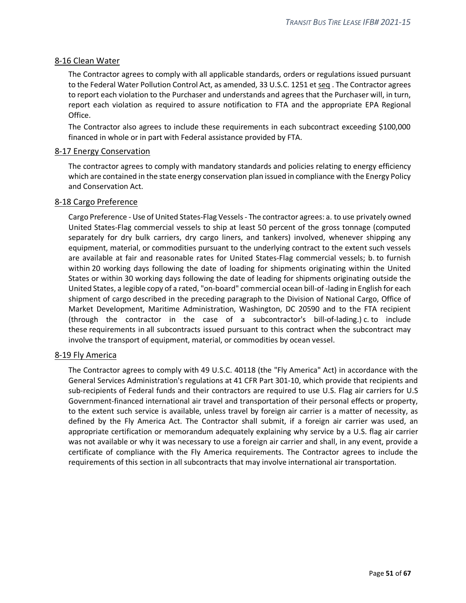## <span id="page-50-0"></span>8-16 Clean Water

The Contractor agrees to comply with all applicable standards, orders or regulations issued pursuant to the Federal Water Pollution Control Act, as amended, 33 U.S.C. 1251 et seq . The Contractor agrees to report each violation to the Purchaser and understands and agrees that the Purchaser will, in turn, report each violation as required to assure notification to FTA and the appropriate EPA Regional Office.

The Contractor also agrees to include these requirements in each subcontract exceeding \$100,000 financed in whole or in part with Federal assistance provided by FTA.

#### <span id="page-50-1"></span>8-17 Energy Conservation

The contractor agrees to comply with mandatory standards and policies relating to energy efficiency which are contained in the state energy conservation plan issued in compliance with the Energy Policy and Conservation Act.

#### <span id="page-50-2"></span>8-18 Cargo Preference

Cargo Preference - Use of United States-Flag Vessels - The contractor agrees: a. to use privately owned United States-Flag commercial vessels to ship at least 50 percent of the gross tonnage (computed separately for dry bulk carriers, dry cargo liners, and tankers) involved, whenever shipping any equipment, material, or commodities pursuant to the underlying contract to the extent such vessels are available at fair and reasonable rates for United States-Flag commercial vessels; b. to furnish within 20 working days following the date of loading for shipments originating within the United States or within 30 working days following the date of leading for shipments originating outside the United States, a legible copy of a rated, "on-board" commercial ocean bill-of -lading in English for each shipment of cargo described in the preceding paragraph to the Division of National Cargo, Office of Market Development, Maritime Administration, Washington, DC 20590 and to the FTA recipient (through the contractor in the case of a subcontractor's bill-of-lading.) c. to include these requirements in all subcontracts issued pursuant to this contract when the subcontract may involve the transport of equipment, material, or commodities by ocean vessel.

## <span id="page-50-3"></span>8-19 Fly America

The Contractor agrees to comply with 49 U.S.C. 40118 (the "Fly America" Act) in accordance with the General Services Administration's regulations at 41 CFR Part 301-10, which provide that recipients and sub-recipients of Federal funds and their contractors are required to use U.S. Flag air carriers for U.S Government-financed international air travel and transportation of their personal effects or property, to the extent such service is available, unless travel by foreign air carrier is a matter of necessity, as defined by the Fly America Act. The Contractor shall submit, if a foreign air carrier was used, an appropriate certification or memorandum adequately explaining why service by a U.S. flag air carrier was not available or why it was necessary to use a foreign air carrier and shall, in any event, provide a certificate of compliance with the Fly America requirements. The Contractor agrees to include the requirements of this section in all subcontracts that may involve international air transportation.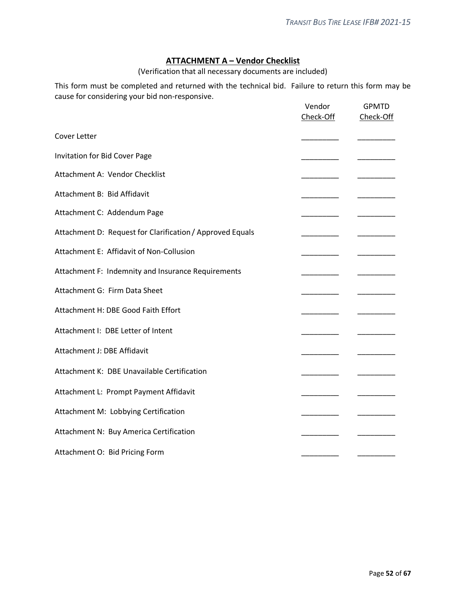## **ATTACHMENT A – Vendor Checklist**

(Verification that all necessary documents are included)

<span id="page-51-0"></span>This form must be completed and returned with the technical bid. Failure to return this form may be cause for considering your bid non-responsive.

|                                                           | Vendor<br>Check-Off | <b>GPMTD</b><br>Check-Off |
|-----------------------------------------------------------|---------------------|---------------------------|
| Cover Letter                                              |                     |                           |
| Invitation for Bid Cover Page                             |                     |                           |
| Attachment A: Vendor Checklist                            |                     |                           |
| Attachment B: Bid Affidavit                               |                     |                           |
| Attachment C: Addendum Page                               |                     |                           |
| Attachment D: Request for Clarification / Approved Equals |                     |                           |
| Attachment E: Affidavit of Non-Collusion                  |                     |                           |
| Attachment F: Indemnity and Insurance Requirements        |                     |                           |
| Attachment G: Firm Data Sheet                             |                     |                           |
| Attachment H: DBE Good Faith Effort                       |                     |                           |
| Attachment I: DBE Letter of Intent                        |                     |                           |
| Attachment J: DBE Affidavit                               |                     |                           |
| Attachment K: DBE Unavailable Certification               |                     |                           |
| Attachment L: Prompt Payment Affidavit                    |                     |                           |
| Attachment M: Lobbying Certification                      |                     |                           |
| Attachment N: Buy America Certification                   |                     |                           |
| Attachment O: Bid Pricing Form                            |                     |                           |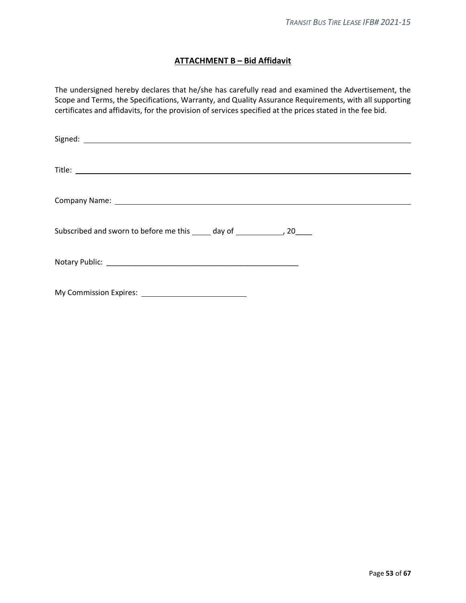## **ATTACHMENT B – Bid Affidavit**

<span id="page-52-0"></span>The undersigned hereby declares that he/she has carefully read and examined the Advertisement, the Scope and Terms, the Specifications, Warranty, and Quality Assurance Requirements, with all supporting certificates and affidavits, for the provision of services specified at the prices stated in the fee bid.

| Subscribed and sworn to before me this _____ day of _______________, 20_____ |
|------------------------------------------------------------------------------|
|                                                                              |
|                                                                              |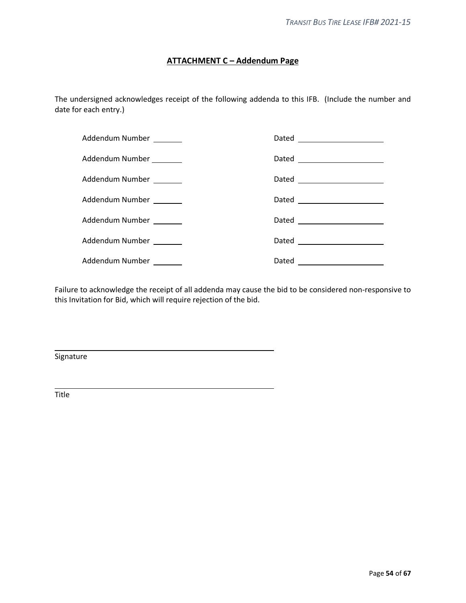## **ATTACHMENT C – Addendum Page**

<span id="page-53-0"></span>The undersigned acknowledges receipt of the following addenda to this IFB. (Include the number and date for each entry.)

| Addendum Number _______ |                                |
|-------------------------|--------------------------------|
| Addendum Number _______ |                                |
| Addendum Number _______ | Dated _______________________  |
| Addendum Number         |                                |
| Addendum Number _______ | Dated _______________________  |
| Addendum Number _______ | Dated ________________________ |
| Addendum Number _______ | Dated _______________________  |

Failure to acknowledge the receipt of all addenda may cause the bid to be considered non-responsive to this Invitation for Bid, which will require rejection of the bid.

Signature

Title

l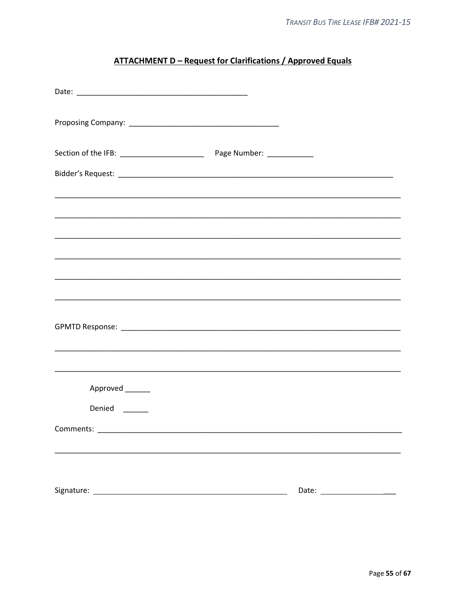# **ATTACHMENT D - Request for Clarifications / Approved Equals**

<span id="page-54-0"></span>

| <u> 1989 - Johann John Harry Harry Harry Harry Harry Harry Harry Harry Harry Harry Harry Harry Harry Harry Harry</u> |  |
|----------------------------------------------------------------------------------------------------------------------|--|
|                                                                                                                      |  |
|                                                                                                                      |  |
|                                                                                                                      |  |
|                                                                                                                      |  |
|                                                                                                                      |  |
|                                                                                                                      |  |
| Approved _______                                                                                                     |  |
| Denied                                                                                                               |  |
| Comments:                                                                                                            |  |
|                                                                                                                      |  |
|                                                                                                                      |  |
|                                                                                                                      |  |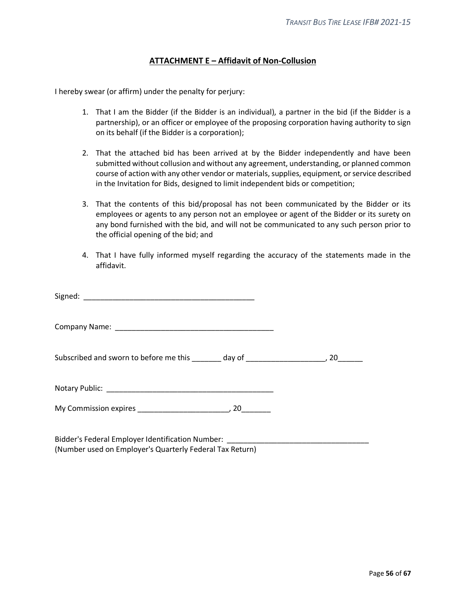## **ATTACHMENT E – Affidavit of Non-Collusion**

<span id="page-55-0"></span>I hereby swear (or affirm) under the penalty for perjury:

- 1. That I am the Bidder (if the Bidder is an individual), a partner in the bid (if the Bidder is a partnership), or an officer or employee of the proposing corporation having authority to sign on its behalf (if the Bidder is a corporation);
- 2. That the attached bid has been arrived at by the Bidder independently and have been submitted without collusion and without any agreement, understanding, or planned common course of action with any other vendor or materials, supplies, equipment, or service described in the Invitation for Bids, designed to limit independent bids or competition;
- 3. That the contents of this bid/proposal has not been communicated by the Bidder or its employees or agents to any person not an employee or agent of the Bidder or its surety on any bond furnished with the bid, and will not be communicated to any such person prior to the official opening of the bid; and
- 4. That I have fully informed myself regarding the accuracy of the statements made in the affidavit.

| Subscribed and sworn to before me this ________ day of _________________________, 20_______ |  |
|---------------------------------------------------------------------------------------------|--|
|                                                                                             |  |
|                                                                                             |  |
|                                                                                             |  |

Bidder's Federal Employer Identification Number: (Number used on Employer's Quarterly Federal Tax Return)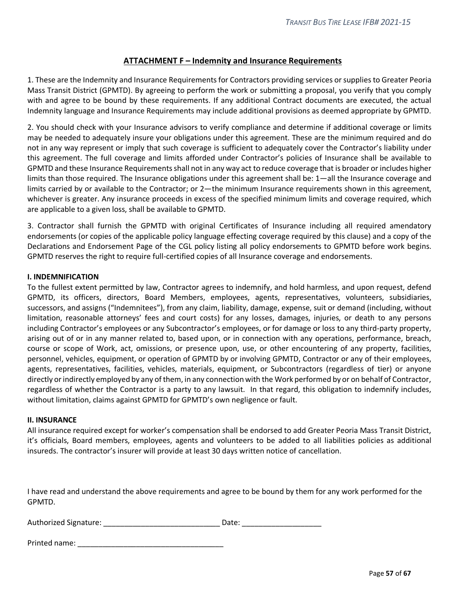## **ATTACHMENT F – Indemnity and Insurance Requirements**

<span id="page-56-0"></span>1. These are the Indemnity and Insurance Requirements for Contractors providing services or supplies to Greater Peoria Mass Transit District (GPMTD). By agreeing to perform the work or submitting a proposal, you verify that you comply with and agree to be bound by these requirements. If any additional Contract documents are executed, the actual Indemnity language and Insurance Requirements may include additional provisions as deemed appropriate by GPMTD.

2. You should check with your Insurance advisors to verify compliance and determine if additional coverage or limits may be needed to adequately insure your obligations under this agreement. These are the minimum required and do not in any way represent or imply that such coverage is sufficient to adequately cover the Contractor's liability under this agreement. The full coverage and limits afforded under Contractor's policies of Insurance shall be available to GPMTD and these Insurance Requirements shall not in any way act to reduce coverage that is broader or includes higher limits than those required. The Insurance obligations under this agreement shall be: 1—all the Insurance coverage and limits carried by or available to the Contractor; or 2—the minimum Insurance requirements shown in this agreement, whichever is greater. Any insurance proceeds in excess of the specified minimum limits and coverage required, which are applicable to a given loss, shall be available to GPMTD.

3. Contractor shall furnish the GPMTD with original Certificates of Insurance including all required amendatory endorsements (or copies of the applicable policy language effecting coverage required by this clause) and a copy of the Declarations and Endorsement Page of the CGL policy listing all policy endorsements to GPMTD before work begins. GPMTD reserves the right to require full-certified copies of all Insurance coverage and endorsements.

#### **I. INDEMNIFICATION**

To the fullest extent permitted by law, Contractor agrees to indemnify, and hold harmless, and upon request, defend GPMTD, its officers, directors, Board Members, employees, agents, representatives, volunteers, subsidiaries, successors, and assigns ("Indemnitees"), from any claim, liability, damage, expense, suit or demand (including, without limitation, reasonable attorneys' fees and court costs) for any losses, damages, injuries, or death to any persons including Contractor's employees or any Subcontractor's employees, or for damage or loss to any third-party property, arising out of or in any manner related to, based upon, or in connection with any operations, performance, breach, course or scope of Work, act, omissions, or presence upon, use, or other encountering of any property, facilities, personnel, vehicles, equipment, or operation of GPMTD by or involving GPMTD, Contractor or any of their employees, agents, representatives, facilities, vehicles, materials, equipment, or Subcontractors (regardless of tier) or anyone directly or indirectly employed by any of them, in any connection with the Work performed by or on behalf of Contractor, regardless of whether the Contractor is a party to any lawsuit. In that regard, this obligation to indemnify includes, without limitation, claims against GPMTD for GPMTD's own negligence or fault.

#### **II. INSURANCE**

All insurance required except for worker's compensation shall be endorsed to add Greater Peoria Mass Transit District, it's officials, Board members, employees, agents and volunteers to be added to all liabilities policies as additional insureds. The contractor's insurer will provide at least 30 days written notice of cancellation.

I have read and understand the above requirements and agree to be bound by them for any work performed for the GPMTD.

| Authorized Signature: | Date: |  |
|-----------------------|-------|--|
|                       |       |  |

| Printed name: |  |
|---------------|--|
|               |  |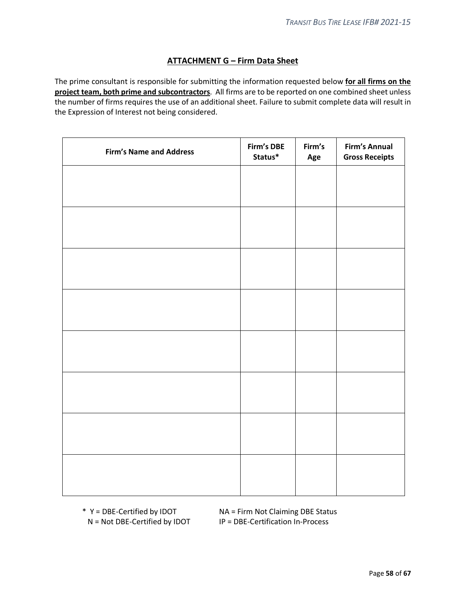## **ATTACHMENT G – Firm Data Sheet**

<span id="page-57-0"></span>The prime consultant is responsible for submitting the information requested below **for all firms on the project team, both prime and subcontractors**. All firms are to be reported on one combined sheet unless the number of firms requires the use of an additional sheet. Failure to submit complete data will result in the Expression of Interest not being considered.

| <b>Firm's Name and Address</b> | Firm's DBE<br>Status* | Firm's<br>Age | Firm's Annual<br><b>Gross Receipts</b> |
|--------------------------------|-----------------------|---------------|----------------------------------------|
|                                |                       |               |                                        |
|                                |                       |               |                                        |
|                                |                       |               |                                        |
|                                |                       |               |                                        |
|                                |                       |               |                                        |
|                                |                       |               |                                        |
|                                |                       |               |                                        |
|                                |                       |               |                                        |
|                                |                       |               |                                        |
|                                |                       |               |                                        |
|                                |                       |               |                                        |
|                                |                       |               |                                        |
|                                |                       |               |                                        |
|                                |                       |               |                                        |
|                                |                       |               |                                        |
|                                |                       |               |                                        |
|                                |                       |               |                                        |

\* Y = DBE-Certified by IDOT NA = Firm Not Claiming DBE Status N = Not DBE-Certified by IDOT IP = DBE-Certification In-Process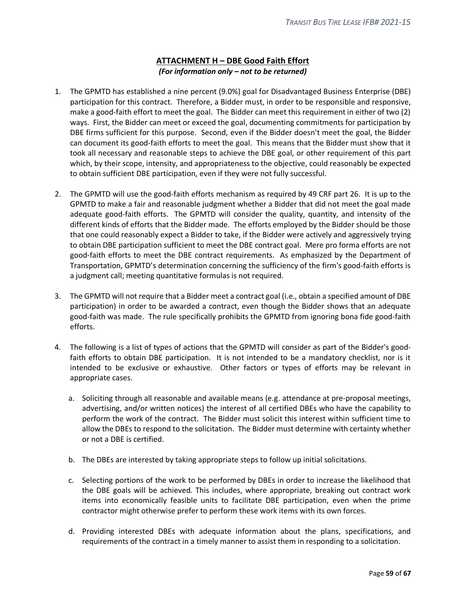## **ATTACHMENT H – DBE Good Faith Effort** *(For information only – not to be returned)*

- <span id="page-58-0"></span>1. The GPMTD has established a nine percent (9.0%) goal for Disadvantaged Business Enterprise (DBE) participation for this contract. Therefore, a Bidder must, in order to be responsible and responsive, make a good-faith effort to meet the goal. The Bidder can meet this requirement in either of two (2) ways. First, the Bidder can meet or exceed the goal, documenting commitments for participation by DBE firms sufficient for this purpose. Second, even if the Bidder doesn't meet the goal, the Bidder can document its good-faith efforts to meet the goal. This means that the Bidder must show that it took all necessary and reasonable steps to achieve the DBE goal, or other requirement of this part which, by their scope, intensity, and appropriateness to the objective, could reasonably be expected to obtain sufficient DBE participation, even if they were not fully successful.
- 2. The GPMTD will use the good-faith efforts mechanism as required by 49 CRF part 26. It is up to the GPMTD to make a fair and reasonable judgment whether a Bidder that did not meet the goal made adequate good-faith efforts. The GPMTD will consider the quality, quantity, and intensity of the different kinds of efforts that the Bidder made. The efforts employed by the Bidder should be those that one could reasonably expect a Bidder to take, if the Bidder were actively and aggressively trying to obtain DBE participation sufficient to meet the DBE contract goal. Mere pro forma efforts are not good-faith efforts to meet the DBE contract requirements. As emphasized by the Department of Transportation, GPMTD's determination concerning the sufficiency of the firm's good-faith efforts is a judgment call; meeting quantitative formulas is not required.
- 3. The GPMTD will not require that a Bidder meet a contract goal (i.e., obtain a specified amount of DBE participation) in order to be awarded a contract, even though the Bidder shows that an adequate good-faith was made. The rule specifically prohibits the GPMTD from ignoring bona fide good-faith efforts.
- 4. The following is a list of types of actions that the GPMTD will consider as part of the Bidder's goodfaith efforts to obtain DBE participation. It is not intended to be a mandatory checklist, nor is it intended to be exclusive or exhaustive. Other factors or types of efforts may be relevant in appropriate cases.
	- a. Soliciting through all reasonable and available means (e.g. attendance at pre-proposal meetings, advertising, and/or written notices) the interest of all certified DBEs who have the capability to perform the work of the contract. The Bidder must solicit this interest within sufficient time to allow the DBEs to respond to the solicitation. The Bidder must determine with certainty whether or not a DBE is certified.
	- b. The DBEs are interested by taking appropriate steps to follow up initial solicitations.
	- c. Selecting portions of the work to be performed by DBEs in order to increase the likelihood that the DBE goals will be achieved. This includes, where appropriate, breaking out contract work items into economically feasible units to facilitate DBE participation, even when the prime contractor might otherwise prefer to perform these work items with its own forces.
	- d. Providing interested DBEs with adequate information about the plans, specifications, and requirements of the contract in a timely manner to assist them in responding to a solicitation.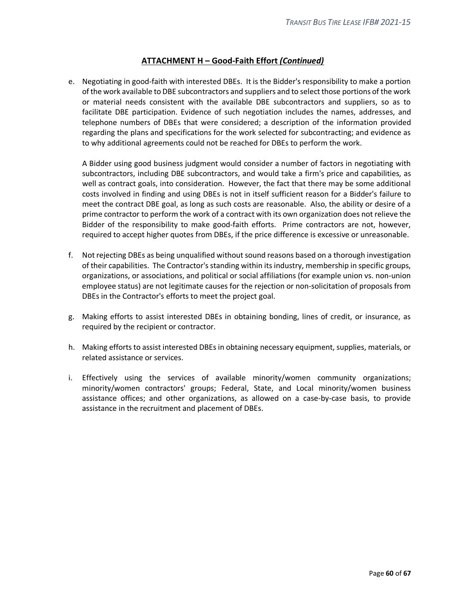## **ATTACHMENT H – Good-Faith Effort** *(Continued)*

e. Negotiating in good-faith with interested DBEs. It is the Bidder's responsibility to make a portion of the work available to DBE subcontractors and suppliers and to select those portions of the work or material needs consistent with the available DBE subcontractors and suppliers, so as to facilitate DBE participation. Evidence of such negotiation includes the names, addresses, and telephone numbers of DBEs that were considered; a description of the information provided regarding the plans and specifications for the work selected for subcontracting; and evidence as to why additional agreements could not be reached for DBEs to perform the work.

A Bidder using good business judgment would consider a number of factors in negotiating with subcontractors, including DBE subcontractors, and would take a firm's price and capabilities, as well as contract goals, into consideration. However, the fact that there may be some additional costs involved in finding and using DBEs is not in itself sufficient reason for a Bidder's failure to meet the contract DBE goal, as long as such costs are reasonable. Also, the ability or desire of a prime contractor to perform the work of a contract with its own organization does not relieve the Bidder of the responsibility to make good-faith efforts. Prime contractors are not, however, required to accept higher quotes from DBEs, if the price difference is excessive or unreasonable.

- f. Not rejecting DBEs as being unqualified without sound reasons based on a thorough investigation of their capabilities. The Contractor's standing within its industry, membership in specific groups, organizations, or associations, and political or social affiliations (for example union vs. non-union employee status) are not legitimate causes for the rejection or non-solicitation of proposals from DBEs in the Contractor's efforts to meet the project goal.
- g. Making efforts to assist interested DBEs in obtaining bonding, lines of credit, or insurance, as required by the recipient or contractor.
- h. Making efforts to assist interested DBEs in obtaining necessary equipment, supplies, materials, or related assistance or services.
- i. Effectively using the services of available minority/women community organizations; minority/women contractors' groups; Federal, State, and Local minority/women business assistance offices; and other organizations, as allowed on a case-by-case basis, to provide assistance in the recruitment and placement of DBEs.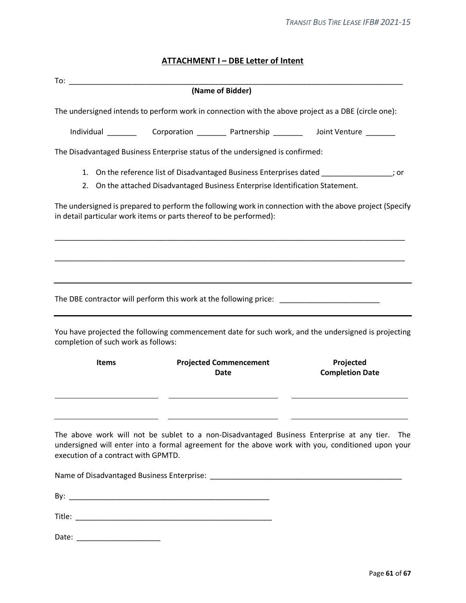## **ATTACHMENT I – DBE Letter of Intent**

<span id="page-60-0"></span>

|                                     |                                                                                | (Name of Bidder)                      |                                                                                                                                                                                                       |
|-------------------------------------|--------------------------------------------------------------------------------|---------------------------------------|-------------------------------------------------------------------------------------------------------------------------------------------------------------------------------------------------------|
|                                     |                                                                                |                                       | The undersigned intends to perform work in connection with the above project as a DBE (circle one):                                                                                                   |
|                                     |                                                                                |                                       |                                                                                                                                                                                                       |
|                                     | The Disadvantaged Business Enterprise status of the undersigned is confirmed:  |                                       |                                                                                                                                                                                                       |
|                                     | 2. On the attached Disadvantaged Business Enterprise Identification Statement. |                                       | 1. On the reference list of Disadvantaged Business Enterprises dated ________________; or                                                                                                             |
|                                     | in detail particular work items or parts thereof to be performed):             |                                       | The undersigned is prepared to perform the following work in connection with the above project (Specify                                                                                               |
|                                     |                                                                                |                                       |                                                                                                                                                                                                       |
|                                     |                                                                                |                                       |                                                                                                                                                                                                       |
|                                     |                                                                                |                                       | The DBE contractor will perform this work at the following price: __________________________________                                                                                                  |
| completion of such work as follows: |                                                                                |                                       | You have projected the following commencement date for such work, and the undersigned is projecting                                                                                                   |
| <b>Items</b>                        |                                                                                | <b>Projected Commencement</b><br>Date | Projected<br><b>Completion Date</b>                                                                                                                                                                   |
| execution of a contract with GPMTD. |                                                                                |                                       | The above work will not be sublet to a non-Disadvantaged Business Enterprise at any tier.<br>The<br>undersigned will enter into a formal agreement for the above work with you, conditioned upon your |
|                                     |                                                                                |                                       |                                                                                                                                                                                                       |
|                                     |                                                                                |                                       |                                                                                                                                                                                                       |
|                                     |                                                                                |                                       |                                                                                                                                                                                                       |

Date: \_\_\_\_\_\_\_\_\_\_\_\_\_\_\_\_\_\_\_\_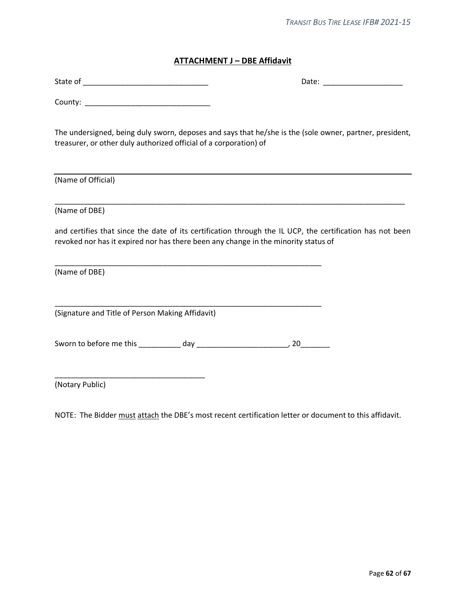#### **ATTACHMENT J – DBE Affidavit**

<span id="page-61-0"></span>

| State of | Jdle |
|----------|------|
|----------|------|

County:

The undersigned, being duly sworn, deposes and says that he/she is the (sole owner, partner, president, treasurer, or other duly authorized official of a corporation) of

(Name of Official)

(Name of DBE)

and certifies that since the date of its certification through the IL UCP, the certification has not been revoked nor has it expired nor has there been any change in the minority status of

\_\_\_\_\_\_\_\_\_\_\_\_\_\_\_\_\_\_\_\_\_\_\_\_\_\_\_\_\_\_\_\_\_\_\_\_\_\_\_\_\_\_\_\_\_\_\_\_\_\_\_\_\_\_\_\_\_\_\_\_\_\_\_\_\_\_\_\_\_\_\_\_\_\_\_\_\_\_\_\_\_\_\_\_

(Name of DBE)

(Signature and Title of Person Making Affidavit)

\_\_\_\_\_\_\_\_\_\_\_\_\_\_\_\_\_\_\_\_\_\_\_\_\_\_\_\_\_\_\_\_\_\_\_\_

Sworn to before me this \_\_\_\_\_\_\_\_\_\_ day \_\_\_\_\_\_\_\_\_\_\_\_\_\_\_\_\_\_\_\_\_\_, 20\_\_\_\_\_\_\_

\_\_\_\_\_\_\_\_\_\_\_\_\_\_\_\_\_\_\_\_\_\_\_\_\_\_\_\_\_\_\_\_\_\_\_\_\_\_\_\_\_\_\_\_\_\_\_\_\_\_\_\_\_\_\_\_\_\_\_\_\_\_\_\_

\_\_\_\_\_\_\_\_\_\_\_\_\_\_\_\_\_\_\_\_\_\_\_\_\_\_\_\_\_\_\_\_\_\_\_\_\_\_\_\_\_\_\_\_\_\_\_\_\_\_\_\_\_\_\_\_\_\_\_\_\_\_\_\_

(Notary Public)

NOTE: The Bidder must attach the DBE's most recent certification letter or document to this affidavit.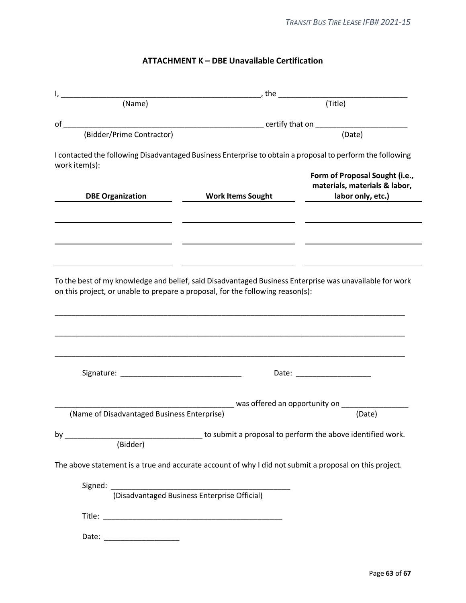# **ATTACHMENT K – DBE Unavailable Certification**

<span id="page-62-0"></span>

|                                                                                                                 | , the $\_$                                                 |                                                                                                           |
|-----------------------------------------------------------------------------------------------------------------|------------------------------------------------------------|-----------------------------------------------------------------------------------------------------------|
| (Name)                                                                                                          |                                                            | (Title)                                                                                                   |
| of                                                                                                              |                                                            |                                                                                                           |
| (Bidder/Prime Contractor)                                                                                       |                                                            | (Date)                                                                                                    |
| work item(s):                                                                                                   |                                                            | I contacted the following Disadvantaged Business Enterprise to obtain a proposal to perform the following |
| <b>DBE Organization</b>                                                                                         | <b>Work Items Sought</b>                                   | Form of Proposal Sought (i.e.,<br>materials, materials & labor,<br>labor only, etc.)                      |
|                                                                                                                 |                                                            |                                                                                                           |
| on this project, or unable to prepare a proposal, for the following reason(s):                                  |                                                            | To the best of my knowledge and belief, said Disadvantaged Business Enterprise was unavailable for work   |
|                                                                                                                 |                                                            | Date: Date:                                                                                               |
|                                                                                                                 |                                                            |                                                                                                           |
|                                                                                                                 |                                                            |                                                                                                           |
|                                                                                                                 |                                                            |                                                                                                           |
| (Name of Disadvantaged Business Enterprise)                                                                     |                                                            | was offered an opportunity on ________<br>(Date)                                                          |
| (Bidder)                                                                                                        | to submit a proposal to perform the above identified work. |                                                                                                           |
|                                                                                                                 |                                                            |                                                                                                           |
|                                                                                                                 |                                                            |                                                                                                           |
| $by_$<br>The above statement is a true and accurate account of why I did not submit a proposal on this project. |                                                            |                                                                                                           |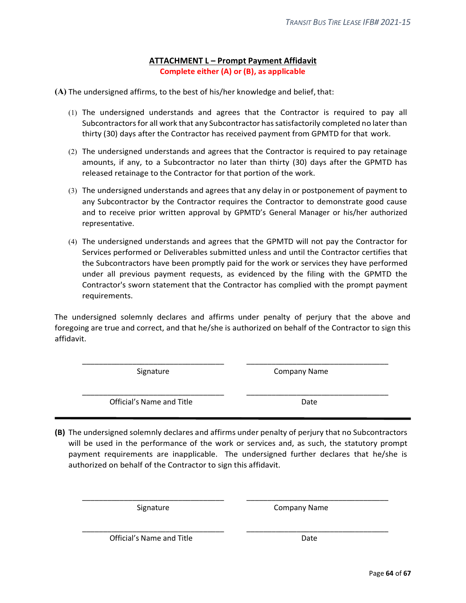## **ATTACHMENT L – Prompt Payment Affidavit Complete either (A) or (B), as applicable**

<span id="page-63-0"></span>**(A)** The undersigned affirms, to the best of his/her knowledge and belief, that:

- (1) The undersigned understands and agrees that the Contractor is required to pay all Subcontractors for all work that any Subcontractor has satisfactorily completed no later than thirty (30) days after the Contractor has received payment from GPMTD for that work.
- (2) The undersigned understands and agrees that the Contractor is required to pay retainage amounts, if any, to a Subcontractor no later than thirty (30) days after the GPMTD has released retainage to the Contractor for that portion of the work.
- (3) The undersigned understands and agrees that any delay in or postponement of payment to any Subcontractor by the Contractor requires the Contractor to demonstrate good cause and to receive prior written approval by GPMTD's General Manager or his/her authorized representative.
- (4) The undersigned understands and agrees that the GPMTD will not pay the Contractor for Services performed or Deliverables submitted unless and until the Contractor certifies that the Subcontractors have been promptly paid for the work or services they have performed under all previous payment requests, as evidenced by the filing with the GPMTD the Contractor's sworn statement that the Contractor has complied with the prompt payment requirements.

The undersigned solemnly declares and affirms under penalty of perjury that the above and foregoing are true and correct, and that he/she is authorized on behalf of the Contractor to sign this affidavit.

\_\_\_\_\_\_\_\_\_\_\_\_\_\_\_\_\_\_\_\_\_\_\_\_\_\_\_\_\_\_\_\_\_\_ \_\_\_\_\_\_\_\_\_\_\_\_\_\_\_\_\_\_\_\_\_\_\_\_\_\_\_\_\_\_\_\_\_\_

Signature **Company Name** 

\_\_\_\_\_\_\_\_\_\_\_\_\_\_\_\_\_\_\_\_\_\_\_\_\_\_\_\_\_\_\_\_\_\_ \_\_\_\_\_\_\_\_\_\_\_\_\_\_\_\_\_\_\_\_\_\_\_\_\_\_\_\_\_\_\_\_\_\_ Official's Name and Title **Date** Date

**(B)** The undersigned solemnly declares and affirms under penalty of perjury that no Subcontractors will be used in the performance of the work or services and, as such, the statutory prompt payment requirements are inapplicable. The undersigned further declares that he/she is authorized on behalf of the Contractor to sign this affidavit.

\_\_\_\_\_\_\_\_\_\_\_\_\_\_\_\_\_\_\_\_\_\_\_\_\_\_\_\_\_\_\_\_\_\_ \_\_\_\_\_\_\_\_\_\_\_\_\_\_\_\_\_\_\_\_\_\_\_\_\_\_\_\_\_\_\_\_\_\_

\_\_\_\_\_\_\_\_\_\_\_\_\_\_\_\_\_\_\_\_\_\_\_\_\_\_\_\_\_\_\_\_\_\_ \_\_\_\_\_\_\_\_\_\_\_\_\_\_\_\_\_\_\_\_\_\_\_\_\_\_\_\_\_\_\_\_\_\_

Signature Company Name

Official's Name and Title **Date** Date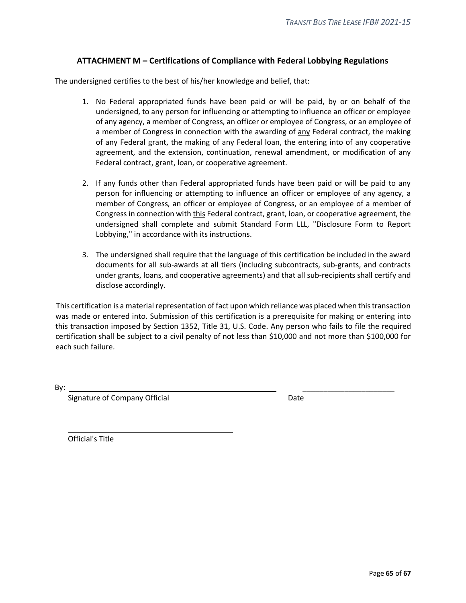## **ATTACHMENT M – Certifications of Compliance with Federal Lobbying Regulations**

<span id="page-64-0"></span>The undersigned certifies to the best of his/her knowledge and belief, that:

- 1. No Federal appropriated funds have been paid or will be paid, by or on behalf of the undersigned, to any person for influencing or attempting to influence an officer or employee of any agency, a member of Congress, an officer or employee of Congress, or an employee of a member of Congress in connection with the awarding of any Federal contract, the making of any Federal grant, the making of any Federal loan, the entering into of any cooperative agreement, and the extension, continuation, renewal amendment, or modification of any Federal contract, grant, loan, or cooperative agreement.
- 2. If any funds other than Federal appropriated funds have been paid or will be paid to any person for influencing or attempting to influence an officer or employee of any agency, a member of Congress, an officer or employee of Congress, or an employee of a member of Congress in connection with this Federal contract, grant, loan, or cooperative agreement, the undersigned shall complete and submit Standard Form LLL, "Disclosure Form to Report Lobbying," in accordance with its instructions.
- 3. The undersigned shall require that the language of this certification be included in the award documents for all sub-awards at all tiers (including subcontracts, sub-grants, and contracts under grants, loans, and cooperative agreements) and that all sub-recipients shall certify and disclose accordingly.

This certification is a material representation of fact upon which reliance was placed when this transaction was made or entered into. Submission of this certification is a prerequisite for making or entering into this transaction imposed by Section 1352, Title 31, U.S. Code. Any person who fails to file the required certification shall be subject to a civil penalty of not less than \$10,000 and not more than \$100,000 for each such failure.

By: \_\_\_\_\_\_\_\_\_\_\_\_\_\_\_\_\_\_\_\_\_\_

Signature of Company Official Date Date

Official's Title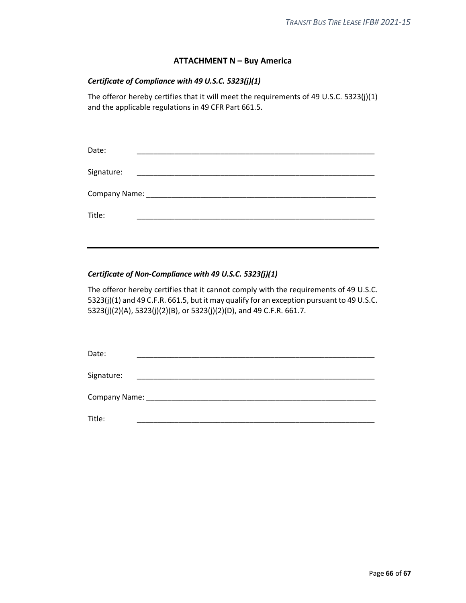## **ATTACHMENT N – Buy America**

## <span id="page-65-0"></span>*Certificate of Compliance with 49 U.S.C. 5323(j)(1)*

The offeror hereby certifies that it will meet the requirements of 49 U.S.C. 5323(j)(1) and the applicable regulations in 49 CFR Part 661.5.

| Date:      |  |  |
|------------|--|--|
| Signature: |  |  |
|            |  |  |
| Title:     |  |  |
|            |  |  |

## *Certificate of Non-Compliance with 49 U.S.C. 5323(j)(1)*

The offeror hereby certifies that it cannot comply with the requirements of 49 U.S.C. 5323(j)(1) and 49 C.F.R. 661.5, but it may qualify for an exception pursuant to 49 U.S.C. 5323(j)(2)(A), 5323(j)(2)(B), or 5323(j)(2)(D), and 49 C.F.R. 661.7.

| Date:             |                                                                                                                        |  |  |
|-------------------|------------------------------------------------------------------------------------------------------------------------|--|--|
| Signature:        | <u> 1980 - John Stein, mars and der Stein and der Stein and der Stein and der Stein and der Stein and der Stein an</u> |  |  |
| Company Name: ___ |                                                                                                                        |  |  |
| Title:            |                                                                                                                        |  |  |